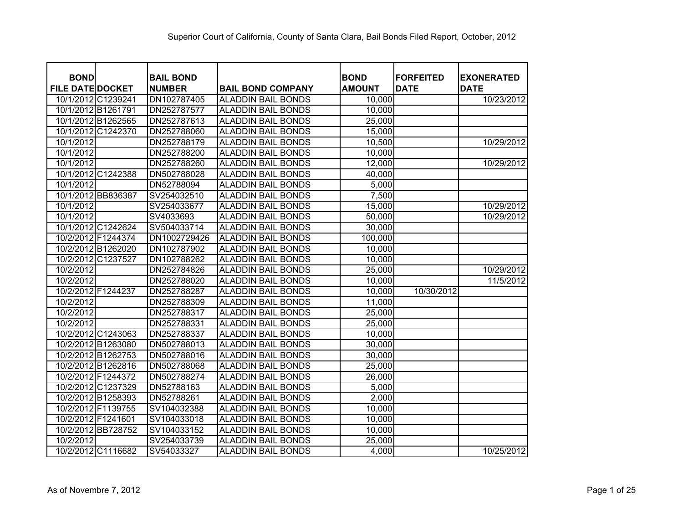| <b>BOND</b>             |                    | <b>BAIL BOND</b> |                           | <b>BOND</b>   | <b>FORFEITED</b> | <b>EXONERATED</b> |
|-------------------------|--------------------|------------------|---------------------------|---------------|------------------|-------------------|
| <b>FILE DATE DOCKET</b> |                    | <b>NUMBER</b>    | <b>BAIL BOND COMPANY</b>  | <b>AMOUNT</b> | <b>DATE</b>      | <b>DATE</b>       |
| 10/1/2012 C1239241      |                    | DN102787405      | <b>ALADDIN BAIL BONDS</b> | 10,000        |                  | 10/23/2012        |
| 10/1/2012 B1261791      |                    | DN252787577      | <b>ALADDIN BAIL BONDS</b> | 10,000        |                  |                   |
| 10/1/2012 B1262565      |                    | DN252787613      | <b>ALADDIN BAIL BONDS</b> | 25,000        |                  |                   |
|                         | 10/1/2012 C1242370 | DN252788060      | <b>ALADDIN BAIL BONDS</b> | 15,000        |                  |                   |
| 10/1/2012               |                    | DN252788179      | <b>ALADDIN BAIL BONDS</b> | 10,500        |                  | 10/29/2012        |
| 10/1/2012               |                    | DN252788200      | <b>ALADDIN BAIL BONDS</b> | 10,000        |                  |                   |
| 10/1/2012               |                    | DN252788260      | <b>ALADDIN BAIL BONDS</b> | 12,000        |                  | 10/29/2012        |
|                         | 10/1/2012 C1242388 | DN502788028      | <b>ALADDIN BAIL BONDS</b> | 40,000        |                  |                   |
| 10/1/2012               |                    | DN52788094       | <b>ALADDIN BAIL BONDS</b> | 5,000         |                  |                   |
| 10/1/2012 BB836387      |                    | SV254032510      | <b>ALADDIN BAIL BONDS</b> | 7,500         |                  |                   |
| 10/1/2012               |                    | SV254033677      | <b>ALADDIN BAIL BONDS</b> | 15,000        |                  | 10/29/2012        |
| 10/1/2012               |                    | SV4033693        | <b>ALADDIN BAIL BONDS</b> | 50,000        |                  | 10/29/2012        |
|                         | 10/1/2012 C1242624 | SV504033714      | <b>ALADDIN BAIL BONDS</b> | 30,000        |                  |                   |
| 10/2/2012 F1244374      |                    | DN1002729426     | <b>ALADDIN BAIL BONDS</b> | 100,000       |                  |                   |
| 10/2/2012 B1262020      |                    | DN102787902      | <b>ALADDIN BAIL BONDS</b> | 10,000        |                  |                   |
| 10/2/2012 C1237527      |                    | DN102788262      | <b>ALADDIN BAIL BONDS</b> | 10,000        |                  |                   |
| 10/2/2012               |                    | DN252784826      | <b>ALADDIN BAIL BONDS</b> | 25,000        |                  | 10/29/2012        |
| 10/2/2012               |                    | DN252788020      | <b>ALADDIN BAIL BONDS</b> | 10,000        |                  | 11/5/2012         |
| 10/2/2012 F1244237      |                    | DN252788287      | <b>ALADDIN BAIL BONDS</b> | 10,000        | 10/30/2012       |                   |
| 10/2/2012               |                    | DN252788309      | <b>ALADDIN BAIL BONDS</b> | 11,000        |                  |                   |
| 10/2/2012               |                    | DN252788317      | <b>ALADDIN BAIL BONDS</b> | 25,000        |                  |                   |
| 10/2/2012               |                    | DN252788331      | <b>ALADDIN BAIL BONDS</b> | 25,000        |                  |                   |
|                         | 10/2/2012 C1243063 | DN252788337      | <b>ALADDIN BAIL BONDS</b> | 10,000        |                  |                   |
| 10/2/2012 B1263080      |                    | DN502788013      | <b>ALADDIN BAIL BONDS</b> | 30,000        |                  |                   |
| 10/2/2012 B1262753      |                    | DN502788016      | <b>ALADDIN BAIL BONDS</b> | 30,000        |                  |                   |
| 10/2/2012 B1262816      |                    | DN502788068      | <b>ALADDIN BAIL BONDS</b> | 25,000        |                  |                   |
| 10/2/2012 F1244372      |                    | DN502788274      | <b>ALADDIN BAIL BONDS</b> | 26,000        |                  |                   |
|                         | 10/2/2012 C1237329 | DN52788163       | <b>ALADDIN BAIL BONDS</b> | 5,000         |                  |                   |
| 10/2/2012 B1258393      |                    | DN52788261       | <b>ALADDIN BAIL BONDS</b> | 2,000         |                  |                   |
| 10/2/2012 F1139755      |                    | SV104032388      | <b>ALADDIN BAIL BONDS</b> | 10,000        |                  |                   |
| 10/2/2012 F1241601      |                    | SV104033018      | <b>ALADDIN BAIL BONDS</b> | 10,000        |                  |                   |
|                         | 10/2/2012 BB728752 | SV104033152      | <b>ALADDIN BAIL BONDS</b> | 10,000        |                  |                   |
| 10/2/2012               |                    | SV254033739      | <b>ALADDIN BAIL BONDS</b> | 25,000        |                  |                   |
|                         | 10/2/2012 C1116682 | SV54033327       | <b>ALADDIN BAIL BONDS</b> | 4,000         |                  | 10/25/2012        |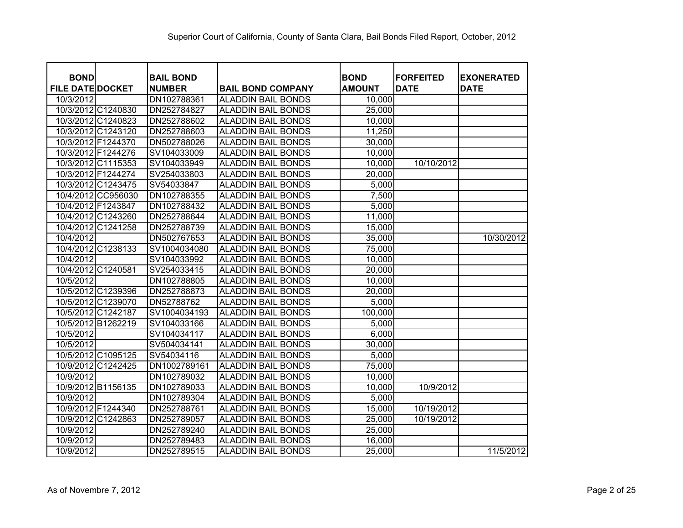| <b>BOND</b>             | <b>BAIL BOND</b> |                           | <b>BOND</b>   | <b>FORFEITED</b> | <b>EXONERATED</b> |
|-------------------------|------------------|---------------------------|---------------|------------------|-------------------|
| <b>FILE DATE DOCKET</b> | <b>NUMBER</b>    | <b>BAIL BOND COMPANY</b>  | <b>AMOUNT</b> | <b>DATE</b>      | <b>DATE</b>       |
| 10/3/2012               | DN102788361      | <b>ALADDIN BAIL BONDS</b> | 10,000        |                  |                   |
| 10/3/2012 C1240830      | DN252784827      | <b>ALADDIN BAIL BONDS</b> | 25,000        |                  |                   |
| 10/3/2012 C1240823      | DN252788602      | <b>ALADDIN BAIL BONDS</b> | 10,000        |                  |                   |
| 10/3/2012 C1243120      | DN252788603      | <b>ALADDIN BAIL BONDS</b> | 11,250        |                  |                   |
| 10/3/2012 F1244370      | DN502788026      | <b>ALADDIN BAIL BONDS</b> | 30,000        |                  |                   |
| 10/3/2012 F1244276      | SV104033009      | <b>ALADDIN BAIL BONDS</b> | 10,000        |                  |                   |
| 10/3/2012 C1115353      | SV104033949      | <b>ALADDIN BAIL BONDS</b> | 10,000        | 10/10/2012       |                   |
| 10/3/2012 F1244274      | SV254033803      | <b>ALADDIN BAIL BONDS</b> | 20,000        |                  |                   |
| 10/3/2012 C1243475      | SV54033847       | <b>ALADDIN BAIL BONDS</b> | 5,000         |                  |                   |
| 10/4/2012 CC956030      | DN102788355      | <b>ALADDIN BAIL BONDS</b> | 7,500         |                  |                   |
| 10/4/2012 F1243847      | DN102788432      | <b>ALADDIN BAIL BONDS</b> | 5,000         |                  |                   |
| 10/4/2012 C1243260      | DN252788644      | <b>ALADDIN BAIL BONDS</b> | 11,000        |                  |                   |
| 10/4/2012 C1241258      | DN252788739      | <b>ALADDIN BAIL BONDS</b> | 15,000        |                  |                   |
| 10/4/2012               | DN502767653      | <b>ALADDIN BAIL BONDS</b> | 35,000        |                  | 10/30/2012        |
| 10/4/2012 C1238133      | SV1004034080     | <b>ALADDIN BAIL BONDS</b> | 75,000        |                  |                   |
| 10/4/2012               | SV104033992      | <b>ALADDIN BAIL BONDS</b> | 10,000        |                  |                   |
| 10/4/2012 C1240581      | SV254033415      | <b>ALADDIN BAIL BONDS</b> | 20,000        |                  |                   |
| 10/5/2012               | DN102788805      | <b>ALADDIN BAIL BONDS</b> | 10,000        |                  |                   |
| 10/5/2012 C1239396      | DN252788873      | <b>ALADDIN BAIL BONDS</b> | 20,000        |                  |                   |
| 10/5/2012 C1239070      | DN52788762       | <b>ALADDIN BAIL BONDS</b> | 5,000         |                  |                   |
| 10/5/2012 C1242187      | SV1004034193     | <b>ALADDIN BAIL BONDS</b> | 100,000       |                  |                   |
| 10/5/2012 B1262219      | SV104033166      | <b>ALADDIN BAIL BONDS</b> | 5,000         |                  |                   |
| 10/5/2012               | SV104034117      | <b>ALADDIN BAIL BONDS</b> | 6,000         |                  |                   |
| 10/5/2012               | SV504034141      | <b>ALADDIN BAIL BONDS</b> | 30,000        |                  |                   |
| 10/5/2012 C1095125      | SV54034116       | <b>ALADDIN BAIL BONDS</b> | 5,000         |                  |                   |
| 10/9/2012 C1242425      | DN1002789161     | <b>ALADDIN BAIL BONDS</b> | 75,000        |                  |                   |
| 10/9/2012               | DN102789032      | <b>ALADDIN BAIL BONDS</b> | 10,000        |                  |                   |
| 10/9/2012 B1156135      | DN102789033      | <b>ALADDIN BAIL BONDS</b> | 10,000        | 10/9/2012        |                   |
| 10/9/2012               | DN102789304      | <b>ALADDIN BAIL BONDS</b> | 5,000         |                  |                   |
| 10/9/2012 F1244340      | DN252788761      | <b>ALADDIN BAIL BONDS</b> | 15,000        | 10/19/2012       |                   |
| 10/9/2012 C1242863      | DN252789057      | <b>ALADDIN BAIL BONDS</b> | 25,000        | 10/19/2012       |                   |
| 10/9/2012               | DN252789240      | <b>ALADDIN BAIL BONDS</b> | 25,000        |                  |                   |
| 10/9/2012               | DN252789483      | <b>ALADDIN BAIL BONDS</b> | 16,000        |                  |                   |
| 10/9/2012               | DN252789515      | <b>ALADDIN BAIL BONDS</b> | 25,000        |                  | 11/5/2012         |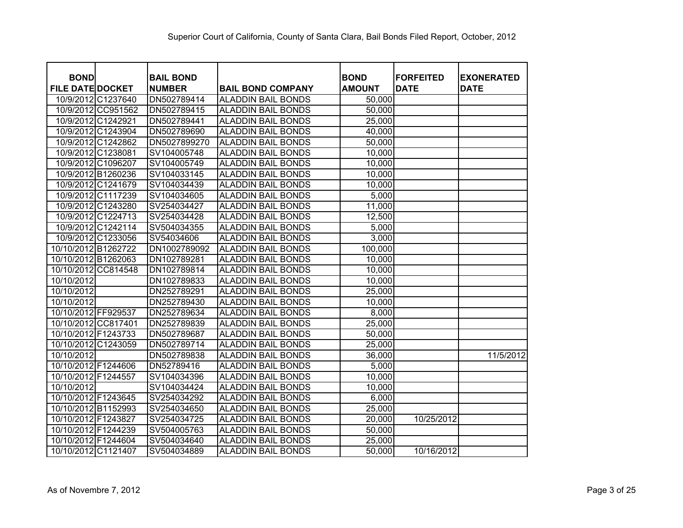| <b>BOND</b>             |                    | <b>BAIL BOND</b> |                           | <b>BOND</b>   | <b>FORFEITED</b> | <b>EXONERATED</b> |
|-------------------------|--------------------|------------------|---------------------------|---------------|------------------|-------------------|
| <b>FILE DATE DOCKET</b> |                    | <b>NUMBER</b>    | <b>BAIL BOND COMPANY</b>  | <b>AMOUNT</b> | <b>DATE</b>      | <b>DATE</b>       |
|                         | 10/9/2012 C1237640 | DN502789414      | <b>ALADDIN BAIL BONDS</b> | 50,000        |                  |                   |
|                         | 10/9/2012 CC951562 | DN502789415      | <b>ALADDIN BAIL BONDS</b> | 50,000        |                  |                   |
|                         | 10/9/2012 C1242921 | DN502789441      | <b>ALADDIN BAIL BONDS</b> | 25,000        |                  |                   |
|                         | 10/9/2012 C1243904 | DN502789690      | <b>ALADDIN BAIL BONDS</b> | 40,000        |                  |                   |
|                         | 10/9/2012 C1242862 | DN5027899270     | <b>ALADDIN BAIL BONDS</b> | 50,000        |                  |                   |
|                         | 10/9/2012 C1238081 | SV104005748      | <b>ALADDIN BAIL BONDS</b> | 10,000        |                  |                   |
|                         | 10/9/2012 C1096207 | SV104005749      | <b>ALADDIN BAIL BONDS</b> | 10,000        |                  |                   |
|                         | 10/9/2012 B1260236 | SV104033145      | <b>ALADDIN BAIL BONDS</b> | 10,000        |                  |                   |
|                         | 10/9/2012 C1241679 | SV104034439      | <b>ALADDIN BAIL BONDS</b> | 10,000        |                  |                   |
|                         | 10/9/2012 C1117239 | SV104034605      | <b>ALADDIN BAIL BONDS</b> | 5,000         |                  |                   |
|                         | 10/9/2012 C1243280 | SV254034427      | <b>ALADDIN BAIL BONDS</b> | 11,000        |                  |                   |
|                         | 10/9/2012 C1224713 | SV254034428      | <b>ALADDIN BAIL BONDS</b> | 12,500        |                  |                   |
|                         | 10/9/2012 C1242114 | SV504034355      | <b>ALADDIN BAIL BONDS</b> | 5,000         |                  |                   |
|                         | 10/9/2012 C1233056 | SV54034606       | <b>ALADDIN BAIL BONDS</b> | 3,000         |                  |                   |
| 10/10/2012 B1262722     |                    | DN1002789092     | <b>ALADDIN BAIL BONDS</b> | 100,000       |                  |                   |
| 10/10/2012 B1262063     |                    | DN102789281      | <b>ALADDIN BAIL BONDS</b> | 10,000        |                  |                   |
| 10/10/2012 CC814548     |                    | DN102789814      | <b>ALADDIN BAIL BONDS</b> | 10,000        |                  |                   |
| 10/10/2012              |                    | DN102789833      | <b>ALADDIN BAIL BONDS</b> | 10,000        |                  |                   |
| 10/10/2012              |                    | DN252789291      | <b>ALADDIN BAIL BONDS</b> | 25,000        |                  |                   |
| 10/10/2012              |                    | DN252789430      | <b>ALADDIN BAIL BONDS</b> | 10,000        |                  |                   |
| 10/10/2012 FF929537     |                    | DN252789634      | <b>ALADDIN BAIL BONDS</b> | 8,000         |                  |                   |
| 10/10/2012 CC817401     |                    | DN252789839      | <b>ALADDIN BAIL BONDS</b> | 25,000        |                  |                   |
| 10/10/2012 F1243733     |                    | DN502789687      | <b>ALADDIN BAIL BONDS</b> | 50,000        |                  |                   |
| 10/10/2012              | C1243059           | DN502789714      | <b>ALADDIN BAIL BONDS</b> | 25,000        |                  |                   |
| 10/10/2012              |                    | DN502789838      | <b>ALADDIN BAIL BONDS</b> | 36,000        |                  | 11/5/2012         |
| 10/10/2012 F1244606     |                    | DN52789416       | <b>ALADDIN BAIL BONDS</b> | 5,000         |                  |                   |
| 10/10/2012 F1244557     |                    | SV104034396      | <b>ALADDIN BAIL BONDS</b> | 10,000        |                  |                   |
| 10/10/2012              |                    | SV104034424      | <b>ALADDIN BAIL BONDS</b> | 10,000        |                  |                   |
| 10/10/2012 F1243645     |                    | SV254034292      | <b>ALADDIN BAIL BONDS</b> | 6,000         |                  |                   |
| 10/10/2012 B1152993     |                    | SV254034650      | <b>ALADDIN BAIL BONDS</b> | 25,000        |                  |                   |
| 10/10/2012 F1243827     |                    | SV254034725      | <b>ALADDIN BAIL BONDS</b> | 20,000        | 10/25/2012       |                   |
| 10/10/2012 F1244239     |                    | SV504005763      | <b>ALADDIN BAIL BONDS</b> | 50,000        |                  |                   |
| 10/10/2012 F1244604     |                    | SV504034640      | <b>ALADDIN BAIL BONDS</b> | 25,000        |                  |                   |
| 10/10/2012 C1121407     |                    | SV504034889      | <b>ALADDIN BAIL BONDS</b> | 50,000        | 10/16/2012       |                   |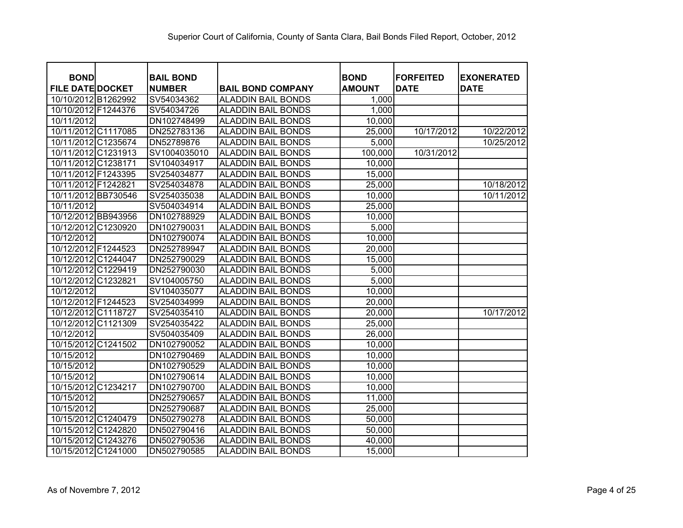| <b>BOND</b>             |          | <b>BAIL BOND</b> |                           | <b>BOND</b>   | <b>FORFEITED</b> |                                  |
|-------------------------|----------|------------------|---------------------------|---------------|------------------|----------------------------------|
| <b>FILE DATE DOCKET</b> |          | <b>NUMBER</b>    | <b>BAIL BOND COMPANY</b>  | <b>AMOUNT</b> | <b>DATE</b>      | <b>EXONERATED</b><br><b>DATE</b> |
| 10/10/2012 B1262992     |          | SV54034362       | <b>ALADDIN BAIL BONDS</b> | 1,000         |                  |                                  |
| 10/10/2012 F1244376     |          | SV54034726       | <b>ALADDIN BAIL BONDS</b> | 1,000         |                  |                                  |
| 10/11/2012              |          | DN102748499      | <b>ALADDIN BAIL BONDS</b> | 10,000        |                  |                                  |
| 10/11/2012 C1117085     |          | DN252783136      | <b>ALADDIN BAIL BONDS</b> | 25,000        | 10/17/2012       | 10/22/2012                       |
| 10/11/2012 C1235674     |          | DN52789876       | <b>ALADDIN BAIL BONDS</b> | 5,000         |                  | 10/25/2012                       |
| 10/11/2012 C1231913     |          | SV1004035010     | <b>ALADDIN BAIL BONDS</b> | 100,000       | 10/31/2012       |                                  |
| 10/11/2012 C1238171     |          | SV104034917      | <b>ALADDIN BAIL BONDS</b> | 10,000        |                  |                                  |
| 10/11/2012 F1243395     |          | SV254034877      | <b>ALADDIN BAIL BONDS</b> | 15,000        |                  |                                  |
| 10/11/2012 F1242821     |          | SV254034878      | <b>ALADDIN BAIL BONDS</b> | 25,000        |                  | 10/18/2012                       |
| 10/11/2012 BB730546     |          | SV254035038      | <b>ALADDIN BAIL BONDS</b> | 10,000        |                  | 10/11/2012                       |
| 10/11/2012              |          | SV504034914      | <b>ALADDIN BAIL BONDS</b> | 25,000        |                  |                                  |
| 10/12/2012 BB943956     |          | DN102788929      | <b>ALADDIN BAIL BONDS</b> | 10,000        |                  |                                  |
| 10/12/2012 C1230920     |          | DN102790031      | <b>ALADDIN BAIL BONDS</b> | 5,000         |                  |                                  |
| 10/12/2012              |          | DN102790074      | <b>ALADDIN BAIL BONDS</b> | 10,000        |                  |                                  |
| 10/12/2012 F1244523     |          | DN252789947      | <b>ALADDIN BAIL BONDS</b> | 20,000        |                  |                                  |
| 10/12/2012 C1244047     |          | DN252790029      | <b>ALADDIN BAIL BONDS</b> | 15,000        |                  |                                  |
| 10/12/2012 C1229419     |          | DN252790030      | <b>ALADDIN BAIL BONDS</b> | 5,000         |                  |                                  |
| 10/12/2012 C1232821     |          | SV104005750      | <b>ALADDIN BAIL BONDS</b> | 5,000         |                  |                                  |
| 10/12/2012              |          | SV104035077      | <b>ALADDIN BAIL BONDS</b> | 10,000        |                  |                                  |
| 10/12/2012 F1244523     |          | SV254034999      | <b>ALADDIN BAIL BONDS</b> | 20,000        |                  |                                  |
| 10/12/2012 C1118727     |          | SV254035410      | <b>ALADDIN BAIL BONDS</b> | 20,000        |                  | 10/17/2012                       |
| 10/12/2012 C1121309     |          | SV254035422      | <b>ALADDIN BAIL BONDS</b> | 25,000        |                  |                                  |
| 10/12/2012              |          | SV504035409      | <b>ALADDIN BAIL BONDS</b> | 26,000        |                  |                                  |
| 10/15/2012 C1241502     |          | DN102790052      | <b>ALADDIN BAIL BONDS</b> | 10,000        |                  |                                  |
| 10/15/2012              |          | DN102790469      | <b>ALADDIN BAIL BONDS</b> | 10,000        |                  |                                  |
| 10/15/2012              |          | DN102790529      | <b>ALADDIN BAIL BONDS</b> | 10,000        |                  |                                  |
| 10/15/2012              |          | DN102790614      | <b>ALADDIN BAIL BONDS</b> | 10,000        |                  |                                  |
| 10/15/2012              | C1234217 | DN102790700      | <b>ALADDIN BAIL BONDS</b> | 10,000        |                  |                                  |
| 10/15/2012              |          | DN252790657      | <b>ALADDIN BAIL BONDS</b> | 11,000        |                  |                                  |
| 10/15/2012              |          | DN252790687      | <b>ALADDIN BAIL BONDS</b> | 25,000        |                  |                                  |
| 10/15/2012 C1240479     |          | DN502790278      | <b>ALADDIN BAIL BONDS</b> | 50,000        |                  |                                  |
| 10/15/2012 C1242820     |          | DN502790416      | <b>ALADDIN BAIL BONDS</b> | 50,000        |                  |                                  |
| 10/15/2012 C1243276     |          | DN502790536      | <b>ALADDIN BAIL BONDS</b> | 40,000        |                  |                                  |
| 10/15/2012 C1241000     |          | DN502790585      | <b>ALADDIN BAIL BONDS</b> | 15,000        |                  |                                  |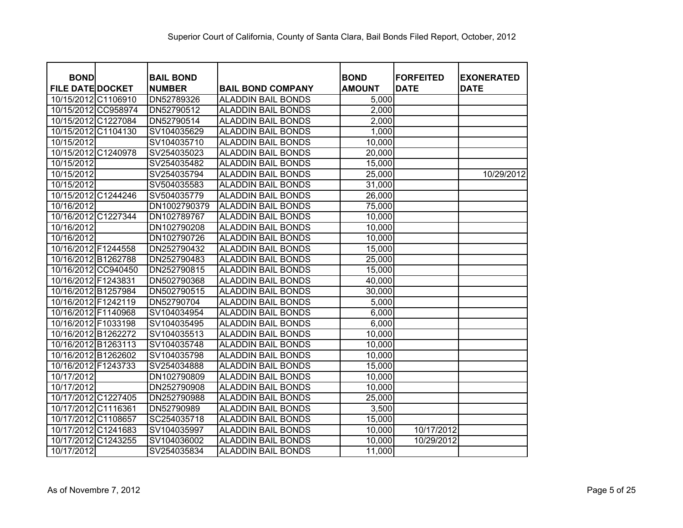| <b>BOND</b><br><b>FILE DATE DOCKET</b> | <b>BAIL BOND</b><br><b>NUMBER</b> | <b>BAIL BOND COMPANY</b>  | <b>BOND</b><br><b>AMOUNT</b> | <b>FORFEITED</b><br><b>DATE</b> | <b>EXONERATED</b><br><b>DATE</b> |
|----------------------------------------|-----------------------------------|---------------------------|------------------------------|---------------------------------|----------------------------------|
| 10/15/2012 C1106910                    | DN52789326                        | <b>ALADDIN BAIL BONDS</b> | 5,000                        |                                 |                                  |
| 10/15/2012 CC958974                    | DN52790512                        | <b>ALADDIN BAIL BONDS</b> | 2,000                        |                                 |                                  |
| 10/15/2012 C1227084                    | DN52790514                        | <b>ALADDIN BAIL BONDS</b> | 2,000                        |                                 |                                  |
| 10/15/2012 C1104130                    | SV104035629                       | <b>ALADDIN BAIL BONDS</b> | 1,000                        |                                 |                                  |
| 10/15/2012                             | SV104035710                       | <b>ALADDIN BAIL BONDS</b> | 10,000                       |                                 |                                  |
| 10/15/2012 C1240978                    | SV254035023                       | <b>ALADDIN BAIL BONDS</b> | 20,000                       |                                 |                                  |
| 10/15/2012                             | SV254035482                       | <b>ALADDIN BAIL BONDS</b> | 15,000                       |                                 |                                  |
| 10/15/2012                             | SV254035794                       | <b>ALADDIN BAIL BONDS</b> | 25,000                       |                                 | 10/29/2012                       |
| 10/15/2012                             | SV504035583                       | <b>ALADDIN BAIL BONDS</b> | 31,000                       |                                 |                                  |
| 10/15/2012 C1244246                    | SV504035779                       | <b>ALADDIN BAIL BONDS</b> | 26,000                       |                                 |                                  |
| 10/16/2012                             | DN1002790379                      | <b>ALADDIN BAIL BONDS</b> | 75,000                       |                                 |                                  |
| 10/16/2012 C1227344                    | DN102789767                       | <b>ALADDIN BAIL BONDS</b> | 10,000                       |                                 |                                  |
| 10/16/2012                             | DN102790208                       | <b>ALADDIN BAIL BONDS</b> | 10,000                       |                                 |                                  |
| 10/16/2012                             | DN102790726                       | <b>ALADDIN BAIL BONDS</b> | 10,000                       |                                 |                                  |
| 10/16/2012 F1244558                    | DN252790432                       | <b>ALADDIN BAIL BONDS</b> | 15,000                       |                                 |                                  |
| 10/16/2012 B1262788                    | DN252790483                       | <b>ALADDIN BAIL BONDS</b> | 25,000                       |                                 |                                  |
| 10/16/2012 CC940450                    | DN252790815                       | <b>ALADDIN BAIL BONDS</b> | 15,000                       |                                 |                                  |
| 10/16/2012 F1243831                    | DN502790368                       | <b>ALADDIN BAIL BONDS</b> | 40,000                       |                                 |                                  |
| 10/16/2012 B1257984                    | DN502790515                       | <b>ALADDIN BAIL BONDS</b> | 30,000                       |                                 |                                  |
| 10/16/2012 F1242119                    | DN52790704                        | <b>ALADDIN BAIL BONDS</b> | 5,000                        |                                 |                                  |
| 10/16/2012 F1140968                    | SV104034954                       | <b>ALADDIN BAIL BONDS</b> | 6,000                        |                                 |                                  |
| 10/16/2012 F1033198                    | SV104035495                       | <b>ALADDIN BAIL BONDS</b> | 6,000                        |                                 |                                  |
| 10/16/2012 B1262272                    | SV104035513                       | <b>ALADDIN BAIL BONDS</b> | 10,000                       |                                 |                                  |
| 10/16/2012 B1263113                    | SV104035748                       | <b>ALADDIN BAIL BONDS</b> | 10,000                       |                                 |                                  |
| 10/16/2012 B1262602                    | SV104035798                       | <b>ALADDIN BAIL BONDS</b> | 10,000                       |                                 |                                  |
| 10/16/2012 F1243733                    | SV254034888                       | <b>ALADDIN BAIL BONDS</b> | 15,000                       |                                 |                                  |
| 10/17/2012                             | DN102790809                       | <b>ALADDIN BAIL BONDS</b> | 10,000                       |                                 |                                  |
| 10/17/2012                             | DN252790908                       | <b>ALADDIN BAIL BONDS</b> | 10,000                       |                                 |                                  |
| 10/17/2012 C1227405                    | DN252790988                       | <b>ALADDIN BAIL BONDS</b> | 25,000                       |                                 |                                  |
| 10/17/2012 C1116361                    | DN52790989                        | <b>ALADDIN BAIL BONDS</b> | 3,500                        |                                 |                                  |
| 10/17/2012 C1108657                    | SC254035718                       | <b>ALADDIN BAIL BONDS</b> | 15,000                       |                                 |                                  |
| 10/17/2012 C1241683                    | SV104035997                       | <b>ALADDIN BAIL BONDS</b> | 10,000                       | 10/17/2012                      |                                  |
| 10/17/2012 C1243255                    | SV104036002                       | <b>ALADDIN BAIL BONDS</b> | 10,000                       | 10/29/2012                      |                                  |
|                                        |                                   |                           |                              |                                 |                                  |
| 10/17/2012                             | SV254035834                       | <b>ALADDIN BAIL BONDS</b> | 11,000                       |                                 |                                  |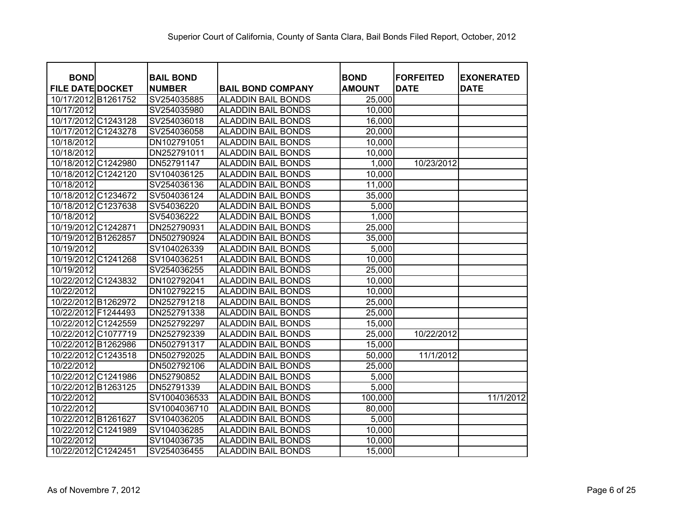| <b>BOND</b>             | <b>BAIL BOND</b> |                           | <b>BOND</b>   | <b>FORFEITED</b> | <b>EXONERATED</b> |
|-------------------------|------------------|---------------------------|---------------|------------------|-------------------|
| <b>FILE DATE DOCKET</b> | <b>NUMBER</b>    | <b>BAIL BOND COMPANY</b>  | <b>AMOUNT</b> | <b>DATE</b>      | <b>DATE</b>       |
| 10/17/2012 B1261752     | SV254035885      | <b>ALADDIN BAIL BONDS</b> | 25,000        |                  |                   |
| 10/17/2012              | SV254035980      | <b>ALADDIN BAIL BONDS</b> | 10,000        |                  |                   |
| 10/17/2012 C1243128     | SV254036018      | <b>ALADDIN BAIL BONDS</b> | 16,000        |                  |                   |
| 10/17/2012 C1243278     | SV254036058      | <b>ALADDIN BAIL BONDS</b> | 20,000        |                  |                   |
| 10/18/2012              | DN102791051      | <b>ALADDIN BAIL BONDS</b> | 10,000        |                  |                   |
| 10/18/2012              | DN252791011      | <b>ALADDIN BAIL BONDS</b> | 10,000        |                  |                   |
| 10/18/2012 C1242980     | DN52791147       | <b>ALADDIN BAIL BONDS</b> | 1,000         | 10/23/2012       |                   |
| 10/18/2012 C1242120     | SV104036125      | <b>ALADDIN BAIL BONDS</b> | 10,000        |                  |                   |
| 10/18/2012              | SV254036136      | <b>ALADDIN BAIL BONDS</b> | 11,000        |                  |                   |
| 10/18/2012 C1234672     | SV504036124      | <b>ALADDIN BAIL BONDS</b> | 35,000        |                  |                   |
| 10/18/2012 C1237638     | SV54036220       | <b>ALADDIN BAIL BONDS</b> | 5,000         |                  |                   |
| 10/18/2012              | SV54036222       | <b>ALADDIN BAIL BONDS</b> | 1,000         |                  |                   |
| 10/19/2012 C1242871     | DN252790931      | <b>ALADDIN BAIL BONDS</b> | 25,000        |                  |                   |
| 10/19/2012 B1262857     | DN502790924      | <b>ALADDIN BAIL BONDS</b> | 35,000        |                  |                   |
| 10/19/2012              | SV104026339      | <b>ALADDIN BAIL BONDS</b> | 5,000         |                  |                   |
| 10/19/2012 C1241268     | SV104036251      | <b>ALADDIN BAIL BONDS</b> | 10,000        |                  |                   |
| 10/19/2012              | SV254036255      | <b>ALADDIN BAIL BONDS</b> | 25,000        |                  |                   |
| 10/22/2012 C1243832     | DN102792041      | <b>ALADDIN BAIL BONDS</b> | 10,000        |                  |                   |
| 10/22/2012              | DN102792215      | <b>ALADDIN BAIL BONDS</b> | 10,000        |                  |                   |
| 10/22/2012 B1262972     | DN252791218      | <b>ALADDIN BAIL BONDS</b> | 25,000        |                  |                   |
| 10/22/2012 F1244493     | DN252791338      | <b>ALADDIN BAIL BONDS</b> | 25,000        |                  |                   |
| 10/22/2012 C1242559     | DN252792297      | <b>ALADDIN BAIL BONDS</b> | 15,000        |                  |                   |
| 10/22/2012 C1077719     | DN252792339      | <b>ALADDIN BAIL BONDS</b> | 25,000        | 10/22/2012       |                   |
| 10/22/2012 B1262986     | DN502791317      | <b>ALADDIN BAIL BONDS</b> | 15,000        |                  |                   |
| 10/22/2012 C1243518     | DN502792025      | <b>ALADDIN BAIL BONDS</b> | 50,000        | 11/1/2012        |                   |
| 10/22/2012              | DN502792106      | <b>ALADDIN BAIL BONDS</b> | 25,000        |                  |                   |
| 10/22/2012 C1241986     | DN52790852       | <b>ALADDIN BAIL BONDS</b> | 5,000         |                  |                   |
| 10/22/2012 B1263125     | DN52791339       | <b>ALADDIN BAIL BONDS</b> | 5,000         |                  |                   |
| 10/22/2012              | SV1004036533     | <b>ALADDIN BAIL BONDS</b> | 100,000       |                  | 11/1/2012         |
| 10/22/2012              | SV1004036710     | <b>ALADDIN BAIL BONDS</b> | 80,000        |                  |                   |
| 10/22/2012 B1261627     | SV104036205      | <b>ALADDIN BAIL BONDS</b> | 5,000         |                  |                   |
| 10/22/2012 C1241989     | SV104036285      | <b>ALADDIN BAIL BONDS</b> | 10,000        |                  |                   |
| 10/22/2012              | SV104036735      | <b>ALADDIN BAIL BONDS</b> | 10,000        |                  |                   |
| 10/22/2012 C1242451     | SV254036455      | <b>ALADDIN BAIL BONDS</b> | 15,000        |                  |                   |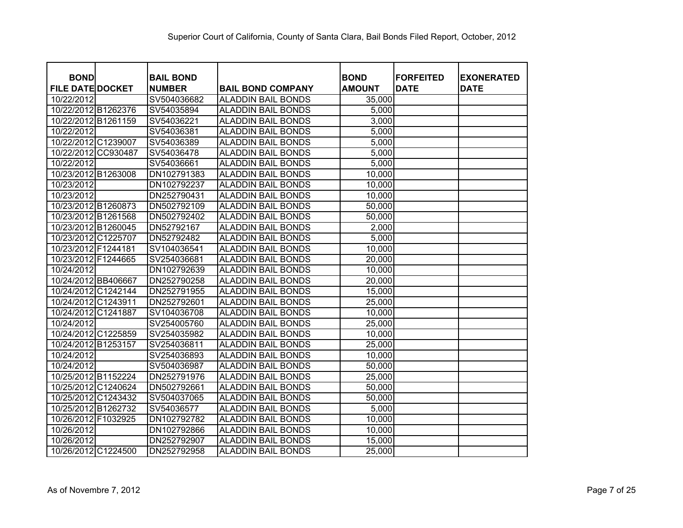| <b>BOND</b><br><b>FILE DATE DOCKET</b> | <b>BAIL BOND</b><br><b>NUMBER</b> | <b>BAIL BOND COMPANY</b>  | <b>BOND</b><br><b>AMOUNT</b> | <b>IFORFEITED</b><br><b>DATE</b> | <b>EXONERATED</b><br><b>DATE</b> |
|----------------------------------------|-----------------------------------|---------------------------|------------------------------|----------------------------------|----------------------------------|
| 10/22/2012                             | SV504036682                       | <b>ALADDIN BAIL BONDS</b> | 35,000                       |                                  |                                  |
| 10/22/2012 B1262376                    | SV54035894                        | <b>ALADDIN BAIL BONDS</b> | 5,000                        |                                  |                                  |
| 10/22/2012 B1261159                    | SV54036221                        | <b>ALADDIN BAIL BONDS</b> | 3,000                        |                                  |                                  |
| 10/22/2012                             | SV54036381                        | <b>ALADDIN BAIL BONDS</b> | 5,000                        |                                  |                                  |
| 10/22/2012 C1239007                    | SV54036389                        | <b>ALADDIN BAIL BONDS</b> | 5,000                        |                                  |                                  |
| 10/22/2012 CC930487                    | SV54036478                        | <b>ALADDIN BAIL BONDS</b> | 5,000                        |                                  |                                  |
| 10/22/2012                             | SV54036661                        | <b>ALADDIN BAIL BONDS</b> | 5,000                        |                                  |                                  |
| 10/23/2012 B1263008                    | DN102791383                       | <b>ALADDIN BAIL BONDS</b> | 10,000                       |                                  |                                  |
| 10/23/2012                             | DN102792237                       | <b>ALADDIN BAIL BONDS</b> | 10,000                       |                                  |                                  |
| 10/23/2012                             | DN252790431                       | <b>ALADDIN BAIL BONDS</b> | 10,000                       |                                  |                                  |
| 10/23/2012 B1260873                    | DN502792109                       | <b>ALADDIN BAIL BONDS</b> | 50,000                       |                                  |                                  |
| 10/23/2012 B1261568                    | DN502792402                       | <b>ALADDIN BAIL BONDS</b> | 50,000                       |                                  |                                  |
| 10/23/2012 B1260045                    | DN52792167                        | <b>ALADDIN BAIL BONDS</b> | 2,000                        |                                  |                                  |
| 10/23/2012 C1225707                    | DN52792482                        | <b>ALADDIN BAIL BONDS</b> | 5,000                        |                                  |                                  |
| 10/23/2012 F1244181                    | SV104036541                       | <b>ALADDIN BAIL BONDS</b> | 10,000                       |                                  |                                  |
| 10/23/2012 F1244665                    | SV254036681                       | <b>ALADDIN BAIL BONDS</b> | 20,000                       |                                  |                                  |
| 10/24/2012                             | DN102792639                       | <b>ALADDIN BAIL BONDS</b> | 10,000                       |                                  |                                  |
| 10/24/2012 BB406667                    | DN252790258                       | <b>ALADDIN BAIL BONDS</b> | 20,000                       |                                  |                                  |
| 10/24/2012 C1242144                    | DN252791955                       | <b>ALADDIN BAIL BONDS</b> | 15,000                       |                                  |                                  |
| 10/24/2012 C1243911                    | DN252792601                       | <b>ALADDIN BAIL BONDS</b> | 25,000                       |                                  |                                  |
| 10/24/2012 C1241887                    | SV104036708                       | <b>ALADDIN BAIL BONDS</b> | 10,000                       |                                  |                                  |
| 10/24/2012                             | SV254005760                       | <b>ALADDIN BAIL BONDS</b> | 25,000                       |                                  |                                  |
| 10/24/2012 C1225859                    | SV254035982                       | <b>ALADDIN BAIL BONDS</b> | 10,000                       |                                  |                                  |
| 10/24/2012 B1253157                    | SV254036811                       | <b>ALADDIN BAIL BONDS</b> | 25,000                       |                                  |                                  |
| 10/24/2012                             | SV254036893                       | <b>ALADDIN BAIL BONDS</b> | 10,000                       |                                  |                                  |
| 10/24/2012                             | SV504036987                       | <b>ALADDIN BAIL BONDS</b> | 50,000                       |                                  |                                  |
| 10/25/2012 B1152224                    | DN252791976                       | <b>ALADDIN BAIL BONDS</b> | 25,000                       |                                  |                                  |
| 10/25/2012 C1240624                    | DN502792661                       | <b>ALADDIN BAIL BONDS</b> | 50,000                       |                                  |                                  |
| 10/25/2012 C1243432                    | SV504037065                       | <b>ALADDIN BAIL BONDS</b> | 50,000                       |                                  |                                  |
| 10/25/2012 B1262732                    | SV54036577                        | <b>ALADDIN BAIL BONDS</b> | 5,000                        |                                  |                                  |
| 10/26/2012 F1032925                    | DN102792782                       | <b>ALADDIN BAIL BONDS</b> | 10,000                       |                                  |                                  |
| 10/26/2012                             | DN102792866                       | <b>ALADDIN BAIL BONDS</b> | 10,000                       |                                  |                                  |
| 10/26/2012                             | DN252792907                       | <b>ALADDIN BAIL BONDS</b> | 15,000                       |                                  |                                  |
| 10/26/2012 C1224500                    | DN252792958                       | <b>ALADDIN BAIL BONDS</b> | 25,000                       |                                  |                                  |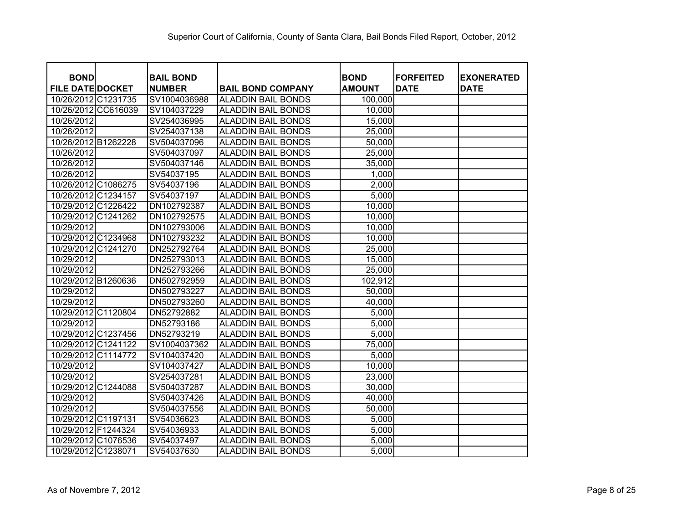| <b>BOND</b>             | <b>BAIL BOND</b> |                           |                              | <b>FORFEITED</b> |                                  |
|-------------------------|------------------|---------------------------|------------------------------|------------------|----------------------------------|
| <b>FILE DATE DOCKET</b> | <b>NUMBER</b>    | <b>BAIL BOND COMPANY</b>  | <b>BOND</b><br><b>AMOUNT</b> | <b>DATE</b>      | <b>EXONERATED</b><br><b>DATE</b> |
| 10/26/2012 C1231735     | SV1004036988     | <b>ALADDIN BAIL BONDS</b> | 100,000                      |                  |                                  |
| 10/26/2012 CC616039     | SV104037229      | <b>ALADDIN BAIL BONDS</b> | 10,000                       |                  |                                  |
| 10/26/2012              | SV254036995      | <b>ALADDIN BAIL BONDS</b> | 15,000                       |                  |                                  |
| 10/26/2012              | SV254037138      | <b>ALADDIN BAIL BONDS</b> | 25,000                       |                  |                                  |
| 10/26/2012 B1262228     | SV504037096      | <b>ALADDIN BAIL BONDS</b> | 50,000                       |                  |                                  |
| 10/26/2012              | SV504037097      | <b>ALADDIN BAIL BONDS</b> | 25,000                       |                  |                                  |
| 10/26/2012              | SV504037146      | <b>ALADDIN BAIL BONDS</b> | 35,000                       |                  |                                  |
| 10/26/2012              | SV54037195       | <b>ALADDIN BAIL BONDS</b> | 1,000                        |                  |                                  |
| 10/26/2012 C1086275     | SV54037196       | <b>ALADDIN BAIL BONDS</b> | 2,000                        |                  |                                  |
| 10/26/2012 C1234157     | SV54037197       | <b>ALADDIN BAIL BONDS</b> | 5,000                        |                  |                                  |
| 10/29/2012 C1226422     | DN102792387      | <b>ALADDIN BAIL BONDS</b> | 10,000                       |                  |                                  |
| 10/29/2012 C1241262     | DN102792575      | <b>ALADDIN BAIL BONDS</b> | 10,000                       |                  |                                  |
| 10/29/2012              | DN102793006      | <b>ALADDIN BAIL BONDS</b> | 10,000                       |                  |                                  |
| 10/29/2012 C1234968     | DN102793232      | <b>ALADDIN BAIL BONDS</b> | 10,000                       |                  |                                  |
| 10/29/2012 C1241270     | DN252792764      | <b>ALADDIN BAIL BONDS</b> | 25,000                       |                  |                                  |
| 10/29/2012              | DN252793013      | <b>ALADDIN BAIL BONDS</b> | 15,000                       |                  |                                  |
| 10/29/2012              | DN252793266      | <b>ALADDIN BAIL BONDS</b> | 25,000                       |                  |                                  |
| 10/29/2012 B1260636     | DN502792959      | <b>ALADDIN BAIL BONDS</b> | 102,912                      |                  |                                  |
| 10/29/2012              | DN502793227      | <b>ALADDIN BAIL BONDS</b> | 50,000                       |                  |                                  |
| 10/29/2012              | DN502793260      | <b>ALADDIN BAIL BONDS</b> | 40,000                       |                  |                                  |
| 10/29/2012 C1120804     | DN52792882       | <b>ALADDIN BAIL BONDS</b> | 5,000                        |                  |                                  |
| 10/29/2012              | DN52793186       | <b>ALADDIN BAIL BONDS</b> | 5,000                        |                  |                                  |
| 10/29/2012 C1237456     | DN52793219       | <b>ALADDIN BAIL BONDS</b> | 5,000                        |                  |                                  |
| 10/29/2012 C1241122     | SV1004037362     | <b>ALADDIN BAIL BONDS</b> | 75,000                       |                  |                                  |
| 10/29/2012 C1114772     | SV104037420      | <b>ALADDIN BAIL BONDS</b> | 5,000                        |                  |                                  |
| 10/29/2012              | SV104037427      | <b>ALADDIN BAIL BONDS</b> | 10,000                       |                  |                                  |
| 10/29/2012              | SV254037281      | <b>ALADDIN BAIL BONDS</b> | 23,000                       |                  |                                  |
| 10/29/2012 C1244088     | SV504037287      | <b>ALADDIN BAIL BONDS</b> | 30,000                       |                  |                                  |
| 10/29/2012              | SV504037426      | <b>ALADDIN BAIL BONDS</b> | 40,000                       |                  |                                  |
| 10/29/2012              | SV504037556      | <b>ALADDIN BAIL BONDS</b> | 50,000                       |                  |                                  |
| 10/29/2012 C1197131     | SV54036623       | <b>ALADDIN BAIL BONDS</b> | 5,000                        |                  |                                  |
| 10/29/2012 F1244324     | SV54036933       | <b>ALADDIN BAIL BONDS</b> | 5,000                        |                  |                                  |
| 10/29/2012 C1076536     | SV54037497       | <b>ALADDIN BAIL BONDS</b> | 5,000                        |                  |                                  |
| 10/29/2012 C1238071     | SV54037630       | <b>ALADDIN BAIL BONDS</b> | 5,000                        |                  |                                  |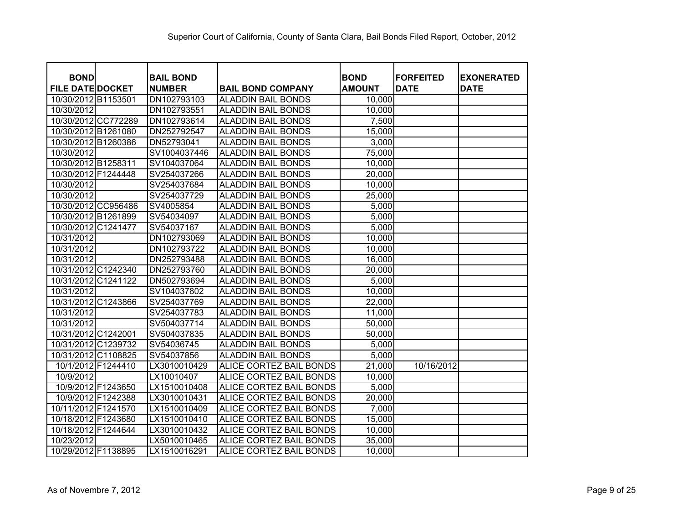| <b>BOND</b>             |          | <b>BAIL BOND</b> |                                | <b>BOND</b>   | <b>FORFEITED</b> | <b>EXONERATED</b> |
|-------------------------|----------|------------------|--------------------------------|---------------|------------------|-------------------|
| <b>FILE DATE DOCKET</b> |          | <b>NUMBER</b>    | <b>BAIL BOND COMPANY</b>       | <b>AMOUNT</b> | <b>DATE</b>      | <b>DATE</b>       |
| 10/30/2012 B1153501     |          | DN102793103      | <b>ALADDIN BAIL BONDS</b>      | 10,000        |                  |                   |
| 10/30/2012              |          | DN102793551      | <b>ALADDIN BAIL BONDS</b>      | 10,000        |                  |                   |
| 10/30/2012 CC772289     |          | DN102793614      | <b>ALADDIN BAIL BONDS</b>      | 7,500         |                  |                   |
| 10/30/2012 B1261080     |          | DN252792547      | <b>ALADDIN BAIL BONDS</b>      | 15,000        |                  |                   |
| 10/30/2012 B1260386     |          | DN52793041       | <b>ALADDIN BAIL BONDS</b>      | 3,000         |                  |                   |
| 10/30/2012              |          | SV1004037446     | <b>ALADDIN BAIL BONDS</b>      | 75,000        |                  |                   |
| 10/30/2012 B1258311     |          | SV104037064      | <b>ALADDIN BAIL BONDS</b>      | 10,000        |                  |                   |
| 10/30/2012 F1244448     |          | SV254037266      | <b>ALADDIN BAIL BONDS</b>      | 20,000        |                  |                   |
| 10/30/2012              |          | SV254037684      | <b>ALADDIN BAIL BONDS</b>      | 10,000        |                  |                   |
| 10/30/2012              |          | SV254037729      | <b>ALADDIN BAIL BONDS</b>      | 25,000        |                  |                   |
| 10/30/2012 CC956486     |          | SV4005854        | <b>ALADDIN BAIL BONDS</b>      | 5,000         |                  |                   |
| 10/30/2012 B1261899     |          | SV54034097       | <b>ALADDIN BAIL BONDS</b>      | 5,000         |                  |                   |
| 10/30/2012 C1241477     |          | SV54037167       | <b>ALADDIN BAIL BONDS</b>      | 5,000         |                  |                   |
| 10/31/2012              |          | DN102793069      | <b>ALADDIN BAIL BONDS</b>      | 10,000        |                  |                   |
| 10/31/2012              |          | DN102793722      | <b>ALADDIN BAIL BONDS</b>      | 10,000        |                  |                   |
| 10/31/2012              |          | DN252793488      | <b>ALADDIN BAIL BONDS</b>      | 16,000        |                  |                   |
| 10/31/2012 C1242340     |          | DN252793760      | <b>ALADDIN BAIL BONDS</b>      | 20,000        |                  |                   |
| 10/31/2012              | C1241122 | DN502793694      | <b>ALADDIN BAIL BONDS</b>      | 5,000         |                  |                   |
| 10/31/2012              |          | SV104037802      | <b>ALADDIN BAIL BONDS</b>      | 10,000        |                  |                   |
| 10/31/2012 C1243866     |          | SV254037769      | <b>ALADDIN BAIL BONDS</b>      | 22,000        |                  |                   |
| 10/31/2012              |          | SV254037783      | <b>ALADDIN BAIL BONDS</b>      | 11,000        |                  |                   |
| 10/31/2012              |          | SV504037714      | <b>ALADDIN BAIL BONDS</b>      | 50,000        |                  |                   |
| 10/31/2012 C1242001     |          | SV504037835      | <b>ALADDIN BAIL BONDS</b>      | 50,000        |                  |                   |
| 10/31/2012 C1239732     |          | SV54036745       | <b>ALADDIN BAIL BONDS</b>      | 5,000         |                  |                   |
| 10/31/2012 C1108825     |          | SV54037856       | <b>ALADDIN BAIL BONDS</b>      | 5,000         |                  |                   |
| 10/1/2012 F1244410      |          | LX3010010429     | ALICE CORTEZ BAIL BONDS        | 21,000        | 10/16/2012       |                   |
| 10/9/2012               |          | LX10010407       | ALICE CORTEZ BAIL BONDS        | 10,000        |                  |                   |
| 10/9/2012 F1243650      |          | LX1510010408     | ALICE CORTEZ BAIL BONDS        | 5,000         |                  |                   |
| 10/9/2012 F1242388      |          | LX3010010431     | ALICE CORTEZ BAIL BONDS        | 20,000        |                  |                   |
| 10/11/2012 F1241570     |          | LX1510010409     | <b>ALICE CORTEZ BAIL BONDS</b> | 7,000         |                  |                   |
| 10/18/2012 F1243680     |          | LX1510010410     | ALICE CORTEZ BAIL BONDS        | 15,000        |                  |                   |
| 10/18/2012 F1244644     |          | LX3010010432     | ALICE CORTEZ BAIL BONDS        | 10,000        |                  |                   |
| 10/23/2012              |          | LX5010010465     | ALICE CORTEZ BAIL BONDS        | 35,000        |                  |                   |
| 10/29/2012 F1138895     |          | LX1510016291     | ALICE CORTEZ BAIL BONDS        | 10,000        |                  |                   |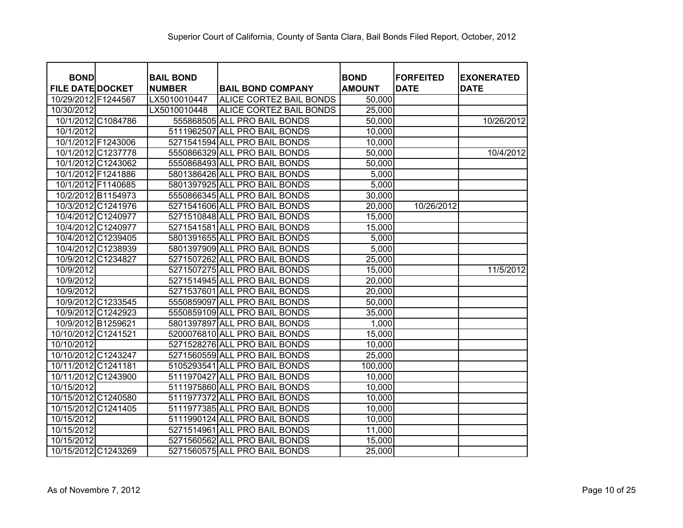| <b>BOND</b>             | <b>BAIL BOND</b> |                                | <b>BOND</b>   | <b>FORFEITED</b> | <b>EXONERATED</b> |
|-------------------------|------------------|--------------------------------|---------------|------------------|-------------------|
| <b>FILE DATE DOCKET</b> | <b>NUMBER</b>    | <b>BAIL BOND COMPANY</b>       | <b>AMOUNT</b> | <b>DATE</b>      | <b>DATE</b>       |
| 10/29/2012 F1244567     | LX5010010447     | <b>ALICE CORTEZ BAIL BONDS</b> | 50,000        |                  |                   |
| 10/30/2012              | LX5010010448     | <b>ALICE CORTEZ BAIL BONDS</b> | 25,000        |                  |                   |
| 10/1/2012 C1084786      |                  | 555868505 ALL PRO BAIL BONDS   | 50,000        |                  | 10/26/2012        |
| 10/1/2012               |                  | 5111962507 ALL PRO BAIL BONDS  | 10,000        |                  |                   |
| 10/1/2012 F1243006      |                  | 5271541594 ALL PRO BAIL BONDS  | 10,000        |                  |                   |
| 10/1/2012 C1237778      |                  | 5550866329 ALL PRO BAIL BONDS  | 50,000        |                  | 10/4/2012         |
| 10/1/2012 C1243062      |                  | 5550868493 ALL PRO BAIL BONDS  | 50,000        |                  |                   |
| 10/1/2012 F1241886      |                  | 5801386426 ALL PRO BAIL BONDS  | 5,000         |                  |                   |
| 10/1/2012 F1140685      |                  | 5801397925 ALL PRO BAIL BONDS  | 5,000         |                  |                   |
| 10/2/2012 B1154973      |                  | 5550866345 ALL PRO BAIL BONDS  | 30,000        |                  |                   |
| 10/3/2012 C1241976      |                  | 5271541606 ALL PRO BAIL BONDS  | 20,000        | 10/26/2012       |                   |
| 10/4/2012 C1240977      |                  | 5271510848 ALL PRO BAIL BONDS  | 15,000        |                  |                   |
| 10/4/2012 C1240977      |                  | 5271541581 ALL PRO BAIL BONDS  | 15,000        |                  |                   |
| 10/4/2012 C1239405      |                  | 5801391655 ALL PRO BAIL BONDS  | 5,000         |                  |                   |
| 10/4/2012 C1238939      |                  | 5801397909 ALL PRO BAIL BONDS  | 5,000         |                  |                   |
| 10/9/2012 C1234827      |                  | 5271507262 ALL PRO BAIL BONDS  | 25,000        |                  |                   |
| 10/9/2012               |                  | 5271507275 ALL PRO BAIL BONDS  | 15,000        |                  | 11/5/2012         |
| 10/9/2012               |                  | 5271514945 ALL PRO BAIL BONDS  | 20,000        |                  |                   |
| 10/9/2012               |                  | 5271537601 ALL PRO BAIL BONDS  | 20,000        |                  |                   |
| 10/9/2012 C1233545      |                  | 5550859097 ALL PRO BAIL BONDS  | 50,000        |                  |                   |
| 10/9/2012 C1242923      |                  | 5550859109 ALL PRO BAIL BONDS  | 35,000        |                  |                   |
| 10/9/2012 B1259621      |                  | 5801397897 ALL PRO BAIL BONDS  | 1,000         |                  |                   |
| 10/10/2012 C1241521     |                  | 5200076810 ALL PRO BAIL BONDS  | 15,000        |                  |                   |
| 10/10/2012              |                  | 5271528276 ALL PRO BAIL BONDS  | 10,000        |                  |                   |
| 10/10/2012 C1243247     |                  | 5271560559 ALL PRO BAIL BONDS  | 25,000        |                  |                   |
| 10/11/2012 C1241181     |                  | 5105293541 ALL PRO BAIL BONDS  | 100,000       |                  |                   |
| 10/11/2012 C1243900     |                  | 5111970427 ALL PRO BAIL BONDS  | 10,000        |                  |                   |
| 10/15/2012              |                  | 5111975860 ALL PRO BAIL BONDS  | 10,000        |                  |                   |
| 10/15/2012 C1240580     |                  | 5111977372 ALL PRO BAIL BONDS  | 10,000        |                  |                   |
| 10/15/2012 C1241405     |                  | 5111977385 ALL PRO BAIL BONDS  | 10,000        |                  |                   |
| 10/15/2012              |                  | 5111990124 ALL PRO BAIL BONDS  | 10,000        |                  |                   |
| 10/15/2012              |                  | 5271514961 ALL PRO BAIL BONDS  | 11,000        |                  |                   |
| 10/15/2012              |                  | 5271560562 ALL PRO BAIL BONDS  | 15,000        |                  |                   |
| 10/15/2012 C1243269     |                  | 5271560575 ALL PRO BAIL BONDS  | 25,000        |                  |                   |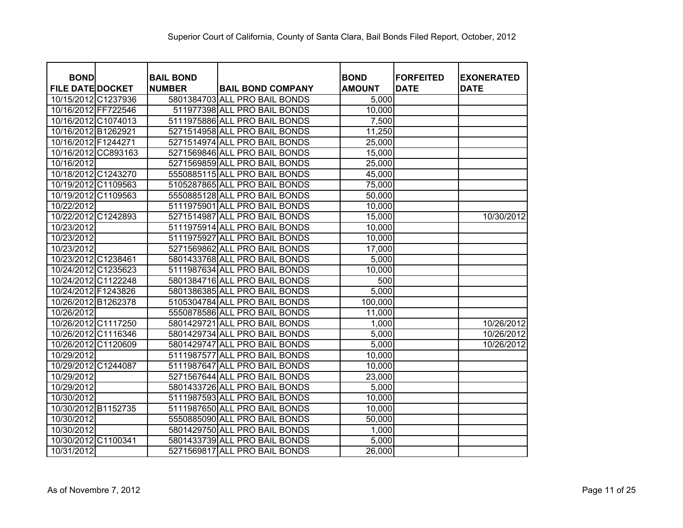| <b>BOND</b>             | <b>BAIL BOND</b> |                               | <b>BOND</b>   | <b>IFORFEITED</b> | <b>EXONERATED</b> |
|-------------------------|------------------|-------------------------------|---------------|-------------------|-------------------|
| <b>FILE DATE DOCKET</b> | <b>NUMBER</b>    | <b>BAIL BOND COMPANY</b>      | <b>AMOUNT</b> | <b>DATE</b>       | <b>DATE</b>       |
| 10/15/2012 C1237936     |                  | 5801384703 ALL PRO BAIL BONDS | 5,000         |                   |                   |
| 10/16/2012 FF722546     |                  | 511977398 ALL PRO BAIL BONDS  | 10,000        |                   |                   |
| 10/16/2012 C1074013     |                  | 5111975886 ALL PRO BAIL BONDS | 7,500         |                   |                   |
| 10/16/2012 B1262921     |                  | 5271514958 ALL PRO BAIL BONDS | 11,250        |                   |                   |
| 10/16/2012 F1244271     |                  | 5271514974 ALL PRO BAIL BONDS | 25,000        |                   |                   |
| 10/16/2012 CC893163     |                  | 5271569846 ALL PRO BAIL BONDS | 15,000        |                   |                   |
| 10/16/2012              |                  | 5271569859 ALL PRO BAIL BONDS | 25,000        |                   |                   |
| 10/18/2012 C1243270     |                  | 5550885115 ALL PRO BAIL BONDS | 45,000        |                   |                   |
| 10/19/2012 C1109563     |                  | 5105287865 ALL PRO BAIL BONDS | 75,000        |                   |                   |
| 10/19/2012 C1109563     |                  | 5550885128 ALL PRO BAIL BONDS | 50,000        |                   |                   |
| 10/22/2012              |                  | 5111975901 ALL PRO BAIL BONDS | 10,000        |                   |                   |
| 10/22/2012 C1242893     |                  | 5271514987 ALL PRO BAIL BONDS | 15,000        |                   | 10/30/2012        |
| 10/23/2012              |                  | 5111975914 ALL PRO BAIL BONDS | 10,000        |                   |                   |
| 10/23/2012              |                  | 5111975927 ALL PRO BAIL BONDS | 10,000        |                   |                   |
| 10/23/2012              |                  | 5271569862 ALL PRO BAIL BONDS | 17,000        |                   |                   |
| 10/23/2012 C1238461     |                  | 5801433768 ALL PRO BAIL BONDS | 5,000         |                   |                   |
| 10/24/2012 C1235623     |                  | 5111987634 ALL PRO BAIL BONDS | 10,000        |                   |                   |
| 10/24/2012 C1122248     |                  | 5801384716 ALL PRO BAIL BONDS | 500           |                   |                   |
| 10/24/2012 F1243826     |                  | 5801386385 ALL PRO BAIL BONDS | 5,000         |                   |                   |
| 10/26/2012 B1262378     |                  | 5105304784 ALL PRO BAIL BONDS | 100,000       |                   |                   |
| 10/26/2012              |                  | 5550878586 ALL PRO BAIL BONDS | 11,000        |                   |                   |
| 10/26/2012 C1117250     |                  | 5801429721 ALL PRO BAIL BONDS | 1,000         |                   | 10/26/2012        |
| 10/26/2012 C1116346     |                  | 5801429734 ALL PRO BAIL BONDS | 5,000         |                   | 10/26/2012        |
| 10/26/2012 C1120609     |                  | 5801429747 ALL PRO BAIL BONDS | 5,000         |                   | 10/26/2012        |
| 10/29/2012              |                  | 5111987577 ALL PRO BAIL BONDS | 10,000        |                   |                   |
| 10/29/2012 C1244087     |                  | 5111987647 ALL PRO BAIL BONDS | 10,000        |                   |                   |
| 10/29/2012              |                  | 5271567644 ALL PRO BAIL BONDS | 23,000        |                   |                   |
| 10/29/2012              |                  | 5801433726 ALL PRO BAIL BONDS | 5,000         |                   |                   |
| 10/30/2012              |                  | 5111987593 ALL PRO BAIL BONDS | 10,000        |                   |                   |
| 10/30/2012 B1152735     |                  | 5111987650 ALL PRO BAIL BONDS | 10,000        |                   |                   |
| 10/30/2012              |                  | 5550885090 ALL PRO BAIL BONDS | 50,000        |                   |                   |
| 10/30/2012              |                  | 5801429750 ALL PRO BAIL BONDS | 1,000         |                   |                   |
| 10/30/2012 C1100341     |                  | 5801433739 ALL PRO BAIL BONDS | 5,000         |                   |                   |
| 10/31/2012              |                  | 5271569817 ALL PRO BAIL BONDS | 26,000        |                   |                   |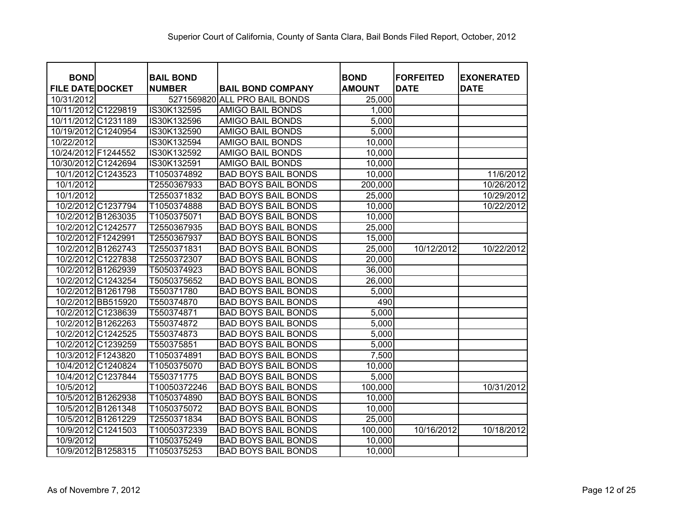| <b>BOND</b>             | <b>BAIL BOND</b> |                               | <b>BOND</b>   | <b>FORFEITED</b> | <b>EXONERATED</b> |
|-------------------------|------------------|-------------------------------|---------------|------------------|-------------------|
| <b>FILE DATE DOCKET</b> | <b>NUMBER</b>    | <b>BAIL BOND COMPANY</b>      | <b>AMOUNT</b> | <b>DATE</b>      | <b>DATE</b>       |
| 10/31/2012              |                  | 5271569820 ALL PRO BAIL BONDS | 25,000        |                  |                   |
| 10/11/2012 C1229819     | IS30K132595      | <b>AMIGO BAIL BONDS</b>       | 1,000         |                  |                   |
| 10/11/2012 C1231189     | IS30K132596      | <b>AMIGO BAIL BONDS</b>       | 5,000         |                  |                   |
| 10/19/2012 C1240954     | IS30K132590      | <b>AMIGO BAIL BONDS</b>       | 5,000         |                  |                   |
| 10/22/2012              | IS30K132594      | <b>AMIGO BAIL BONDS</b>       | 10,000        |                  |                   |
| 10/24/2012 F1244552     | IS30K132592      | <b>AMIGO BAIL BONDS</b>       | 10,000        |                  |                   |
| 10/30/2012 C1242694     | IS30K132591      | <b>AMIGO BAIL BONDS</b>       | 10,000        |                  |                   |
| 10/1/2012 C1243523      | T1050374892      | <b>BAD BOYS BAIL BONDS</b>    | 10,000        |                  | 11/6/2012         |
| 10/1/2012               | T2550367933      | <b>BAD BOYS BAIL BONDS</b>    | 200,000       |                  | 10/26/2012        |
| 10/1/2012               | T2550371832      | <b>BAD BOYS BAIL BONDS</b>    | 25,000        |                  | 10/29/2012        |
| 10/2/2012 C1237794      | T1050374888      | <b>BAD BOYS BAIL BONDS</b>    | 10,000        |                  | 10/22/2012        |
| 10/2/2012 B1263035      | T1050375071      | <b>BAD BOYS BAIL BONDS</b>    | 10,000        |                  |                   |
| 10/2/2012 C1242577      | T2550367935      | <b>BAD BOYS BAIL BONDS</b>    | 25,000        |                  |                   |
| 10/2/2012 F1242991      | T2550367937      | <b>BAD BOYS BAIL BONDS</b>    | 15,000        |                  |                   |
| 10/2/2012 B1262743      | T2550371831      | <b>BAD BOYS BAIL BONDS</b>    | 25,000        | 10/12/2012       | 10/22/2012        |
| 10/2/2012 C1227838      | T2550372307      | <b>BAD BOYS BAIL BONDS</b>    | 20,000        |                  |                   |
| 10/2/2012 B1262939      | T5050374923      | <b>BAD BOYS BAIL BONDS</b>    | 36,000        |                  |                   |
| 10/2/2012 C1243254      | T5050375652      | <b>BAD BOYS BAIL BONDS</b>    | 26,000        |                  |                   |
| 10/2/2012 B1261798      | T550371780       | <b>BAD BOYS BAIL BONDS</b>    | 5,000         |                  |                   |
| 10/2/2012 BB515920      | T550374870       | <b>BAD BOYS BAIL BONDS</b>    | 490           |                  |                   |
| 10/2/2012 C1238639      | T550374871       | <b>BAD BOYS BAIL BONDS</b>    | 5,000         |                  |                   |
| 10/2/2012 B1262263      | T550374872       | <b>BAD BOYS BAIL BONDS</b>    | 5,000         |                  |                   |
| 10/2/2012 C1242525      | T550374873       | <b>BAD BOYS BAIL BONDS</b>    | 5,000         |                  |                   |
| 10/2/2012 C1239259      | T550375851       | <b>BAD BOYS BAIL BONDS</b>    | 5,000         |                  |                   |
| 10/3/2012 F1243820      | T1050374891      | <b>BAD BOYS BAIL BONDS</b>    | 7,500         |                  |                   |
| 10/4/2012 C1240824      | T1050375070      | <b>BAD BOYS BAIL BONDS</b>    | 10,000        |                  |                   |
| 10/4/2012 C1237844      | T550371775       | <b>BAD BOYS BAIL BONDS</b>    | 5,000         |                  |                   |
| 10/5/2012               | T10050372246     | <b>BAD BOYS BAIL BONDS</b>    | 100,000       |                  | 10/31/2012        |
| 10/5/2012 B1262938      | T1050374890      | <b>BAD BOYS BAIL BONDS</b>    | 10,000        |                  |                   |
| 10/5/2012 B1261348      | T1050375072      | <b>BAD BOYS BAIL BONDS</b>    | 10,000        |                  |                   |
| 10/5/2012 B1261229      | T2550371834      | <b>BAD BOYS BAIL BONDS</b>    | 25,000        |                  |                   |
| 10/9/2012 C1241503      | T10050372339     | <b>BAD BOYS BAIL BONDS</b>    | 100,000       | 10/16/2012       | 10/18/2012        |
| 10/9/2012               | T1050375249      | <b>BAD BOYS BAIL BONDS</b>    | 10,000        |                  |                   |
| 10/9/2012 B1258315      | T1050375253      | <b>BAD BOYS BAIL BONDS</b>    | 10,000        |                  |                   |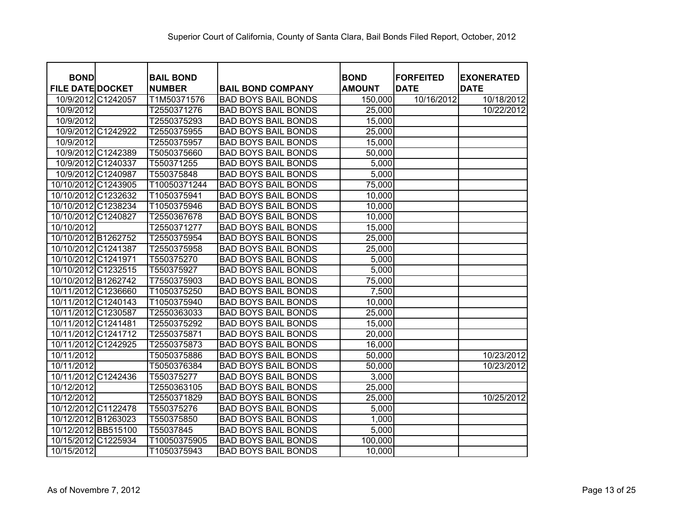| <b>BOND</b>             | <b>BAIL BOND</b> |                            | <b>BOND</b>   | <b>FORFEITED</b> | <b>EXONERATED</b> |
|-------------------------|------------------|----------------------------|---------------|------------------|-------------------|
| <b>FILE DATE DOCKET</b> | <b>NUMBER</b>    | <b>BAIL BOND COMPANY</b>   | <b>AMOUNT</b> | <b>DATE</b>      | <b>DATE</b>       |
| 10/9/2012 C1242057      | T1M50371576      | <b>BAD BOYS BAIL BONDS</b> | 150,000       | 10/16/2012       | 10/18/2012        |
| 10/9/2012               | T2550371276      | <b>BAD BOYS BAIL BONDS</b> | 25,000        |                  | 10/22/2012        |
| 10/9/2012               | T2550375293      | <b>BAD BOYS BAIL BONDS</b> | 15,000        |                  |                   |
| 10/9/2012 C1242922      | T2550375955      | <b>BAD BOYS BAIL BONDS</b> | 25,000        |                  |                   |
| 10/9/2012               | T2550375957      | <b>BAD BOYS BAIL BONDS</b> | 15,000        |                  |                   |
| 10/9/2012 C1242389      | T5050375660      | <b>BAD BOYS BAIL BONDS</b> | 50,000        |                  |                   |
| 10/9/2012 C1240337      | T550371255       | <b>BAD BOYS BAIL BONDS</b> | 5,000         |                  |                   |
| 10/9/2012 C1240987      | T550375848       | <b>BAD BOYS BAIL BONDS</b> | 5,000         |                  |                   |
| 10/10/2012 C1243905     | T10050371244     | <b>BAD BOYS BAIL BONDS</b> | 75,000        |                  |                   |
| 10/10/2012 C1232632     | T1050375941      | <b>BAD BOYS BAIL BONDS</b> | 10,000        |                  |                   |
| 10/10/2012 C1238234     | T1050375946      | <b>BAD BOYS BAIL BONDS</b> | 10,000        |                  |                   |
| 10/10/2012 C1240827     | T2550367678      | <b>BAD BOYS BAIL BONDS</b> | 10,000        |                  |                   |
| 10/10/2012              | T2550371277      | <b>BAD BOYS BAIL BONDS</b> | 15,000        |                  |                   |
| 10/10/2012 B1262752     | T2550375954      | <b>BAD BOYS BAIL BONDS</b> | 25,000        |                  |                   |
| 10/10/2012 C1241387     | T2550375958      | <b>BAD BOYS BAIL BONDS</b> | 25,000        |                  |                   |
| 10/10/2012 C1241971     | T550375270       | <b>BAD BOYS BAIL BONDS</b> | 5,000         |                  |                   |
| 10/10/2012 C1232515     | T550375927       | <b>BAD BOYS BAIL BONDS</b> | 5,000         |                  |                   |
| 10/10/2012 B1262742     | T7550375903      | <b>BAD BOYS BAIL BONDS</b> | 75,000        |                  |                   |
| 10/11/2012 C1236660     | T1050375250      | <b>BAD BOYS BAIL BONDS</b> | 7,500         |                  |                   |
| 10/11/2012 C1240143     | T1050375940      | <b>BAD BOYS BAIL BONDS</b> | 10,000        |                  |                   |
| 10/11/2012 C1230587     | T2550363033      | <b>BAD BOYS BAIL BONDS</b> | 25,000        |                  |                   |
| 10/11/2012 C1241481     | T2550375292      | <b>BAD BOYS BAIL BONDS</b> | 15,000        |                  |                   |
| 10/11/2012 C1241712     | T2550375871      | <b>BAD BOYS BAIL BONDS</b> | 20,000        |                  |                   |
| 10/11/2012 C1242925     | T2550375873      | <b>BAD BOYS BAIL BONDS</b> | 16,000        |                  |                   |
| 10/11/2012              | T5050375886      | <b>BAD BOYS BAIL BONDS</b> | 50,000        |                  | 10/23/2012        |
| 10/11/2012              | T5050376384      | <b>BAD BOYS BAIL BONDS</b> | 50,000        |                  | 10/23/2012        |
| 10/11/2012 C1242436     | T550375277       | <b>BAD BOYS BAIL BONDS</b> | 3,000         |                  |                   |
| 10/12/2012              | T2550363105      | <b>BAD BOYS BAIL BONDS</b> | 25,000        |                  |                   |
| 10/12/2012              | T2550371829      | <b>BAD BOYS BAIL BONDS</b> | 25,000        |                  | 10/25/2012        |
| 10/12/2012 C1122478     | T550375276       | <b>BAD BOYS BAIL BONDS</b> | 5,000         |                  |                   |
| 10/12/2012 B1263023     | T550375850       | <b>BAD BOYS BAIL BONDS</b> | 1,000         |                  |                   |
| 10/12/2012 BB515100     | T55037845        | <b>BAD BOYS BAIL BONDS</b> | 5,000         |                  |                   |
| 10/15/2012 C1225934     | T10050375905     | <b>BAD BOYS BAIL BONDS</b> | 100,000       |                  |                   |
| 10/15/2012              | T1050375943      | <b>BAD BOYS BAIL BONDS</b> | 10,000        |                  |                   |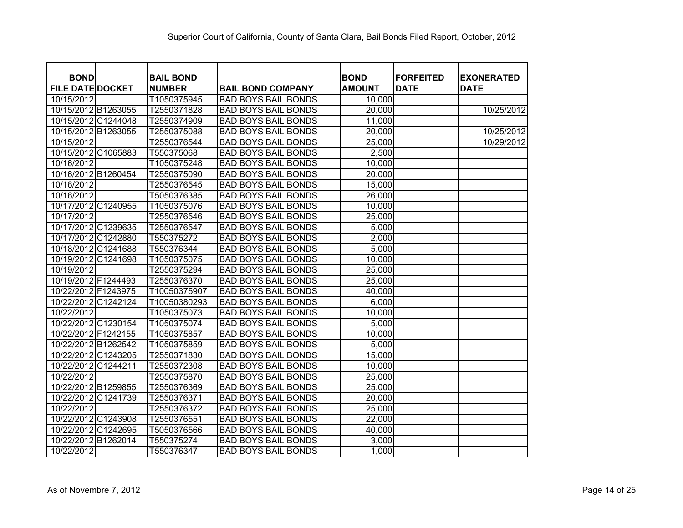| <b>BOND</b>             | <b>BAIL BOND</b> |                            | <b>BOND</b>   | <b>FORFEITED</b> | <b>EXONERATED</b> |
|-------------------------|------------------|----------------------------|---------------|------------------|-------------------|
| <b>FILE DATE DOCKET</b> | <b>NUMBER</b>    | <b>BAIL BOND COMPANY</b>   | <b>AMOUNT</b> | <b>DATE</b>      | <b>DATE</b>       |
| 10/15/2012              | T1050375945      | <b>BAD BOYS BAIL BONDS</b> | 10,000        |                  |                   |
| 10/15/2012 B1263055     | T2550371828      | <b>BAD BOYS BAIL BONDS</b> | 20,000        |                  | 10/25/2012        |
| 10/15/2012 C1244048     | T2550374909      | <b>BAD BOYS BAIL BONDS</b> | 11,000        |                  |                   |
| 10/15/2012 B1263055     | T2550375088      | <b>BAD BOYS BAIL BONDS</b> | 20,000        |                  | 10/25/2012        |
| 10/15/2012              | T2550376544      | <b>BAD BOYS BAIL BONDS</b> | 25,000        |                  | 10/29/2012        |
| 10/15/2012 C1065883     | T550375068       | <b>BAD BOYS BAIL BONDS</b> | 2,500         |                  |                   |
| 10/16/2012              | T1050375248      | <b>BAD BOYS BAIL BONDS</b> | 10,000        |                  |                   |
| 10/16/2012 B1260454     | T2550375090      | <b>BAD BOYS BAIL BONDS</b> | 20,000        |                  |                   |
| 10/16/2012              | T2550376545      | <b>BAD BOYS BAIL BONDS</b> | 15,000        |                  |                   |
| 10/16/2012              | T5050376385      | <b>BAD BOYS BAIL BONDS</b> | 26,000        |                  |                   |
| 10/17/2012 C1240955     | T1050375076      | <b>BAD BOYS BAIL BONDS</b> | 10,000        |                  |                   |
| 10/17/2012              | T2550376546      | <b>BAD BOYS BAIL BONDS</b> | 25,000        |                  |                   |
| 10/17/2012 C1239635     | T2550376547      | <b>BAD BOYS BAIL BONDS</b> | 5,000         |                  |                   |
| 10/17/2012 C1242880     | T550375272       | <b>BAD BOYS BAIL BONDS</b> | 2,000         |                  |                   |
| 10/18/2012 C1241688     | T550376344       | <b>BAD BOYS BAIL BONDS</b> | 5,000         |                  |                   |
| 10/19/2012 C1241698     | T1050375075      | <b>BAD BOYS BAIL BONDS</b> | 10,000        |                  |                   |
| 10/19/2012              | T2550375294      | <b>BAD BOYS BAIL BONDS</b> | 25,000        |                  |                   |
| 10/19/2012 F1244493     | T2550376370      | <b>BAD BOYS BAIL BONDS</b> | 25,000        |                  |                   |
| 10/22/2012 F1243975     | T10050375907     | <b>BAD BOYS BAIL BONDS</b> | 40,000        |                  |                   |
| 10/22/2012 C1242124     | T10050380293     | <b>BAD BOYS BAIL BONDS</b> | 6,000         |                  |                   |
| 10/22/2012              | T1050375073      | <b>BAD BOYS BAIL BONDS</b> | 10,000        |                  |                   |
| 10/22/2012 C1230154     | T1050375074      | <b>BAD BOYS BAIL BONDS</b> | 5,000         |                  |                   |
| 10/22/2012 F1242155     | T1050375857      | <b>BAD BOYS BAIL BONDS</b> | 10,000        |                  |                   |
| 10/22/2012 B1262542     | T1050375859      | <b>BAD BOYS BAIL BONDS</b> | 5,000         |                  |                   |
| 10/22/2012 C1243205     | T2550371830      | <b>BAD BOYS BAIL BONDS</b> | 15,000        |                  |                   |
| 10/22/2012 C1244211     | T2550372308      | <b>BAD BOYS BAIL BONDS</b> | 10,000        |                  |                   |
| 10/22/2012              | T2550375870      | <b>BAD BOYS BAIL BONDS</b> | 25,000        |                  |                   |
| 10/22/2012 B1259855     | T2550376369      | <b>BAD BOYS BAIL BONDS</b> | 25,000        |                  |                   |
| 10/22/2012 C1241739     | T2550376371      | <b>BAD BOYS BAIL BONDS</b> | 20,000        |                  |                   |
| 10/22/2012              | T2550376372      | <b>BAD BOYS BAIL BONDS</b> | 25,000        |                  |                   |
| 10/22/2012 C1243908     | T2550376551      | <b>BAD BOYS BAIL BONDS</b> | 22,000        |                  |                   |
| 10/22/2012 C1242695     | T5050376566      | <b>BAD BOYS BAIL BONDS</b> | 40,000        |                  |                   |
| 10/22/2012 B1262014     | T550375274       | <b>BAD BOYS BAIL BONDS</b> | 3,000         |                  |                   |
| 10/22/2012              | T550376347       | <b>BAD BOYS BAIL BONDS</b> | 1,000         |                  |                   |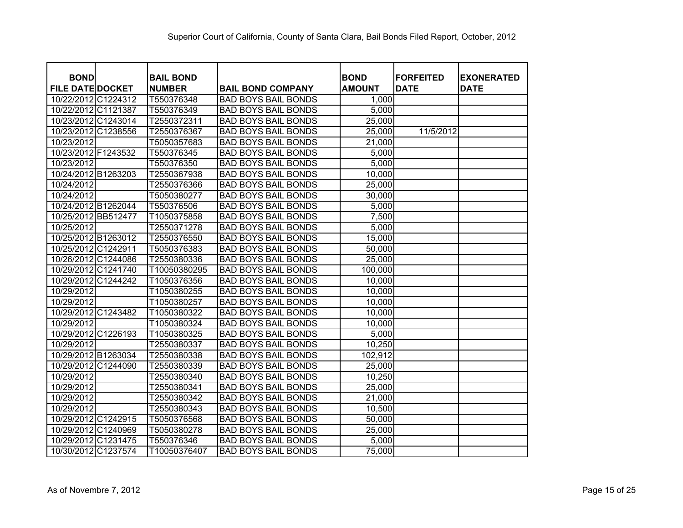| <b>BOND</b>             | <b>BAIL BOND</b> |                            | <b>BOND</b>   | <b>FORFEITED</b> | <b>EXONERATED</b> |
|-------------------------|------------------|----------------------------|---------------|------------------|-------------------|
| <b>FILE DATE DOCKET</b> | <b>NUMBER</b>    | <b>BAIL BOND COMPANY</b>   | <b>AMOUNT</b> | <b>DATE</b>      | <b>DATE</b>       |
| 10/22/2012 C1224312     | T550376348       | <b>BAD BOYS BAIL BONDS</b> | 1,000         |                  |                   |
| 10/22/2012 C1121387     | T550376349       | <b>BAD BOYS BAIL BONDS</b> | 5,000         |                  |                   |
| 10/23/2012 C1243014     | T2550372311      | <b>BAD BOYS BAIL BONDS</b> | 25,000        |                  |                   |
| 10/23/2012 C1238556     | T2550376367      | <b>BAD BOYS BAIL BONDS</b> | 25,000        | 11/5/2012        |                   |
| 10/23/2012              | T5050357683      | <b>BAD BOYS BAIL BONDS</b> | 21,000        |                  |                   |
| 10/23/2012 F1243532     | T550376345       | <b>BAD BOYS BAIL BONDS</b> | 5,000         |                  |                   |
| 10/23/2012              | T550376350       | <b>BAD BOYS BAIL BONDS</b> | 5,000         |                  |                   |
| 10/24/2012 B1263203     | T2550367938      | <b>BAD BOYS BAIL BONDS</b> | 10,000        |                  |                   |
| 10/24/2012              | T2550376366      | <b>BAD BOYS BAIL BONDS</b> | 25,000        |                  |                   |
| 10/24/2012              | T5050380277      | <b>BAD BOYS BAIL BONDS</b> | 30,000        |                  |                   |
| 10/24/2012 B1262044     | T550376506       | <b>BAD BOYS BAIL BONDS</b> | 5,000         |                  |                   |
| 10/25/2012 BB512477     | T1050375858      | <b>BAD BOYS BAIL BONDS</b> | 7,500         |                  |                   |
| 10/25/2012              | T2550371278      | <b>BAD BOYS BAIL BONDS</b> | 5,000         |                  |                   |
| 10/25/2012 B1263012     | T2550376550      | <b>BAD BOYS BAIL BONDS</b> | 15,000        |                  |                   |
| 10/25/2012 C1242911     | T5050376383      | <b>BAD BOYS BAIL BONDS</b> | 50,000        |                  |                   |
| 10/26/2012 C1244086     | T2550380336      | <b>BAD BOYS BAIL BONDS</b> | 25,000        |                  |                   |
| 10/29/2012 C1241740     | T10050380295     | <b>BAD BOYS BAIL BONDS</b> | 100,000       |                  |                   |
| 10/29/2012 C1244242     | T1050376356      | <b>BAD BOYS BAIL BONDS</b> | 10,000        |                  |                   |
| 10/29/2012              | T1050380255      | <b>BAD BOYS BAIL BONDS</b> | 10,000        |                  |                   |
| 10/29/2012              | T1050380257      | <b>BAD BOYS BAIL BONDS</b> | 10,000        |                  |                   |
| 10/29/2012 C1243482     | T1050380322      | <b>BAD BOYS BAIL BONDS</b> | 10,000        |                  |                   |
| 10/29/2012              | T1050380324      | <b>BAD BOYS BAIL BONDS</b> | 10,000        |                  |                   |
| 10/29/2012 C1226193     | T1050380325      | <b>BAD BOYS BAIL BONDS</b> | 5,000         |                  |                   |
| 10/29/2012              | T2550380337      | <b>BAD BOYS BAIL BONDS</b> | 10,250        |                  |                   |
| 10/29/2012 B1263034     | T2550380338      | <b>BAD BOYS BAIL BONDS</b> | 102,912       |                  |                   |
| 10/29/2012 C1244090     | T2550380339      | <b>BAD BOYS BAIL BONDS</b> | 25,000        |                  |                   |
| 10/29/2012              | T2550380340      | <b>BAD BOYS BAIL BONDS</b> | 10,250        |                  |                   |
| 10/29/2012              | T2550380341      | <b>BAD BOYS BAIL BONDS</b> | 25,000        |                  |                   |
| 10/29/2012              | T2550380342      | <b>BAD BOYS BAIL BONDS</b> | 21,000        |                  |                   |
| 10/29/2012              | T2550380343      | <b>BAD BOYS BAIL BONDS</b> | 10,500        |                  |                   |
| 10/29/2012 C1242915     | T5050376568      | <b>BAD BOYS BAIL BONDS</b> | 50,000        |                  |                   |
| 10/29/2012 C1240969     | T5050380278      | <b>BAD BOYS BAIL BONDS</b> | 25,000        |                  |                   |
| 10/29/2012 C1231475     | T550376346       | <b>BAD BOYS BAIL BONDS</b> | 5,000         |                  |                   |
| 10/30/2012 C1237574     | T10050376407     | <b>BAD BOYS BAIL BONDS</b> | 75,000        |                  |                   |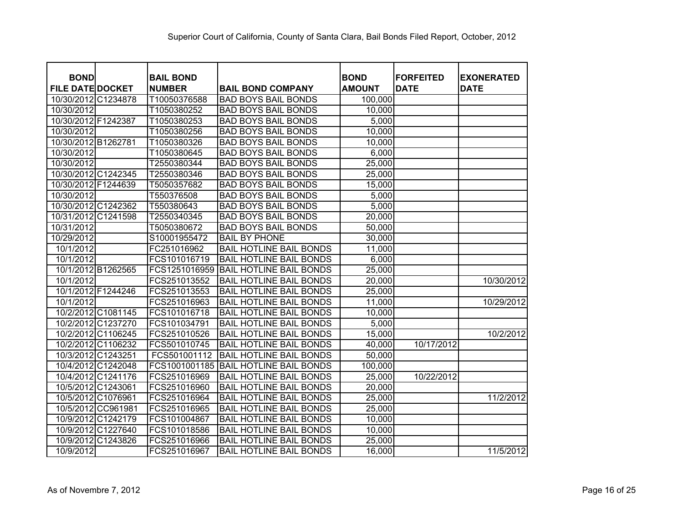| <b>BOND</b>             | <b>BAIL BOND</b> |                                | <b>BOND</b>   | <b>FORFEITED</b> | <b>EXONERATED</b> |
|-------------------------|------------------|--------------------------------|---------------|------------------|-------------------|
| <b>FILE DATE DOCKET</b> | <b>NUMBER</b>    | <b>BAIL BOND COMPANY</b>       | <b>AMOUNT</b> | <b>DATE</b>      | <b>DATE</b>       |
| 10/30/2012 C1234878     | T10050376588     | <b>BAD BOYS BAIL BONDS</b>     | 100,000       |                  |                   |
| 10/30/2012              | T1050380252      | <b>BAD BOYS BAIL BONDS</b>     | 10,000        |                  |                   |
| 10/30/2012 F1242387     | T1050380253      | <b>BAD BOYS BAIL BONDS</b>     | 5,000         |                  |                   |
| 10/30/2012              | T1050380256      | <b>BAD BOYS BAIL BONDS</b>     | 10,000        |                  |                   |
| 10/30/2012 B1262781     | T1050380326      | <b>BAD BOYS BAIL BONDS</b>     | 10,000        |                  |                   |
| 10/30/2012              | T1050380645      | <b>BAD BOYS BAIL BONDS</b>     | 6,000         |                  |                   |
| 10/30/2012              | T2550380344      | <b>BAD BOYS BAIL BONDS</b>     | 25,000        |                  |                   |
| 10/30/2012 C1242345     | T2550380346      | <b>BAD BOYS BAIL BONDS</b>     | 25,000        |                  |                   |
| 10/30/2012 F1244639     | T5050357682      | <b>BAD BOYS BAIL BONDS</b>     | 15,000        |                  |                   |
| 10/30/2012              | T550376508       | <b>BAD BOYS BAIL BONDS</b>     | 5,000         |                  |                   |
| 10/30/2012 C1242362     | T550380643       | <b>BAD BOYS BAIL BONDS</b>     | 5,000         |                  |                   |
| 10/31/2012 C1241598     | T2550340345      | <b>BAD BOYS BAIL BONDS</b>     | 20,000        |                  |                   |
| 10/31/2012              | T5050380672      | <b>BAD BOYS BAIL BONDS</b>     | 50,000        |                  |                   |
| 10/29/2012              | S10001955472     | <b>BAIL BY PHONE</b>           | 30,000        |                  |                   |
| 10/1/2012               | FC251016962      | <b>BAIL HOTLINE BAIL BONDS</b> | 11,000        |                  |                   |
| 10/1/2012               | FCS101016719     | <b>BAIL HOTLINE BAIL BONDS</b> | 6,000         |                  |                   |
| 10/1/2012 B1262565      | FCS1251016959    | <b>BAIL HOTLINE BAIL BONDS</b> | 25,000        |                  |                   |
| 10/1/2012               | FCS251013552     | <b>BAIL HOTLINE BAIL BONDS</b> | 20,000        |                  | 10/30/2012        |
| 10/1/2012 F1244246      | FCS251013553     | <b>BAIL HOTLINE BAIL BONDS</b> | 25,000        |                  |                   |
| 10/1/2012               | FCS251016963     | <b>BAIL HOTLINE BAIL BONDS</b> | 11,000        |                  | 10/29/2012        |
| 10/2/2012 C1081145      | FCS101016718     | <b>BAIL HOTLINE BAIL BONDS</b> | 10,000        |                  |                   |
| 10/2/2012 C1237270      | FCS101034791     | <b>BAIL HOTLINE BAIL BONDS</b> | 5,000         |                  |                   |
| 10/2/2012 C1106245      | FCS251010526     | <b>BAIL HOTLINE BAIL BONDS</b> | 15,000        |                  | 10/2/2012         |
| 10/2/2012 C1106232      | FCS501010745     | <b>BAIL HOTLINE BAIL BONDS</b> | 40,000        | 10/17/2012       |                   |
| 10/3/2012 C1243251      | FCS501001112     | <b>BAIL HOTLINE BAIL BONDS</b> | 50,000        |                  |                   |
| 10/4/2012 C1242048      | FCS1001001185    | <b>BAIL HOTLINE BAIL BONDS</b> | 100,000       |                  |                   |
| 10/4/2012 C1241176      | FCS251016969     | <b>BAIL HOTLINE BAIL BONDS</b> | 25,000        | 10/22/2012       |                   |
| 10/5/2012 C1243061      | FCS251016960     | <b>BAIL HOTLINE BAIL BONDS</b> | 20,000        |                  |                   |
| 10/5/2012 C1076961      | FCS251016964     | <b>BAIL HOTLINE BAIL BONDS</b> | 25,000        |                  | 11/2/2012         |
| 10/5/2012 CC961981      | FCS251016965     | <b>BAIL HOTLINE BAIL BONDS</b> | 25,000        |                  |                   |
| 10/9/2012 C1242179      | FCS101004867     | <b>BAIL HOTLINE BAIL BONDS</b> | 10,000        |                  |                   |
| 10/9/2012 C1227640      | FCS101018586     | <b>BAIL HOTLINE BAIL BONDS</b> | 10,000        |                  |                   |
| 10/9/2012 C1243826      | FCS251016966     | <b>BAIL HOTLINE BAIL BONDS</b> | 25,000        |                  |                   |
| 10/9/2012               | FCS251016967     | <b>BAIL HOTLINE BAIL BONDS</b> | 16,000        |                  | 11/5/2012         |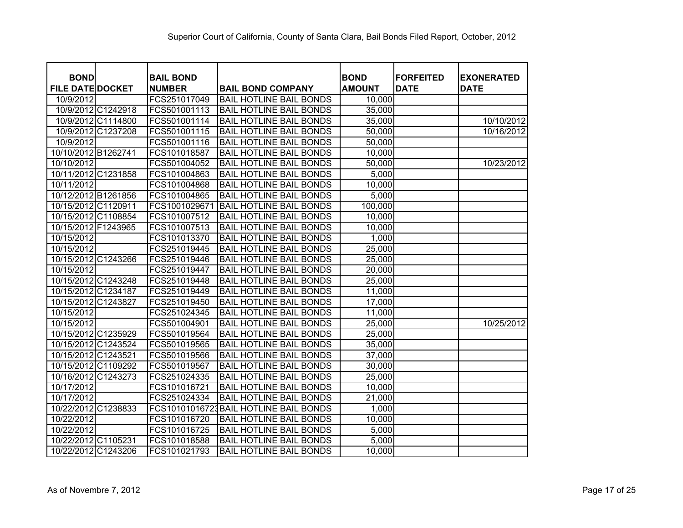| <b>BOND</b>             | <b>BAIL BOND</b> |                                        | <b>BOND</b>   | <b>FORFEITED</b> | <b>EXONERATED</b> |
|-------------------------|------------------|----------------------------------------|---------------|------------------|-------------------|
| <b>FILE DATE DOCKET</b> | <b>NUMBER</b>    | <b>BAIL BOND COMPANY</b>               | <b>AMOUNT</b> | <b>DATE</b>      | <b>DATE</b>       |
| 10/9/2012               | FCS251017049     | <b>BAIL HOTLINE BAIL BONDS</b>         | 10,000        |                  |                   |
| 10/9/2012 C1242918      | FCS501001113     | <b>BAIL HOTLINE BAIL BONDS</b>         | 35,000        |                  |                   |
| 10/9/2012 C1114800      | FCS501001114     | <b>BAIL HOTLINE BAIL BONDS</b>         | 35,000        |                  | 10/10/2012        |
| 10/9/2012 C1237208      | FCS501001115     | <b>BAIL HOTLINE BAIL BONDS</b>         | 50,000        |                  | 10/16/2012        |
| 10/9/2012               | FCS501001116     | <b>BAIL HOTLINE BAIL BONDS</b>         | 50,000        |                  |                   |
| 10/10/2012 B1262741     | FCS101018587     | <b>BAIL HOTLINE BAIL BONDS</b>         | 10,000        |                  |                   |
| 10/10/2012              | FCS501004052     | <b>BAIL HOTLINE BAIL BONDS</b>         | 50,000        |                  | 10/23/2012        |
| 10/11/2012 C1231858     | FCS101004863     | <b>BAIL HOTLINE BAIL BONDS</b>         | 5,000         |                  |                   |
| 10/11/2012              | FCS101004868     | <b>BAIL HOTLINE BAIL BONDS</b>         | 10,000        |                  |                   |
| 10/12/2012 B1261856     | FCS101004865     | <b>BAIL HOTLINE BAIL BONDS</b>         | 5,000         |                  |                   |
| 10/15/2012 C1120911     | FCS1001029671    | <b>BAIL HOTLINE BAIL BONDS</b>         | 100,000       |                  |                   |
| 10/15/2012 C1108854     | FCS101007512     | <b>BAIL HOTLINE BAIL BONDS</b>         | 10,000        |                  |                   |
| 10/15/2012 F1243965     | FCS101007513     | <b>BAIL HOTLINE BAIL BONDS</b>         | 10,000        |                  |                   |
| 10/15/2012              | FCS101013370     | <b>BAIL HOTLINE BAIL BONDS</b>         | 1,000         |                  |                   |
| 10/15/2012              | FCS251019445     | <b>BAIL HOTLINE BAIL BONDS</b>         | 25,000        |                  |                   |
| 10/15/2012 C1243266     | FCS251019446     | <b>BAIL HOTLINE BAIL BONDS</b>         | 25,000        |                  |                   |
| 10/15/2012              | FCS251019447     | <b>BAIL HOTLINE BAIL BONDS</b>         | 20,000        |                  |                   |
| 10/15/2012 C1243248     | FCS251019448     | <b>BAIL HOTLINE BAIL BONDS</b>         | 25,000        |                  |                   |
| 10/15/2012 C1234187     | FCS251019449     | <b>BAIL HOTLINE BAIL BONDS</b>         | 11,000        |                  |                   |
| 10/15/2012 C1243827     | FCS251019450     | <b>BAIL HOTLINE BAIL BONDS</b>         | 17,000        |                  |                   |
| 10/15/2012              | FCS251024345     | <b>BAIL HOTLINE BAIL BONDS</b>         | 11,000        |                  |                   |
| 10/15/2012              | FCS501004901     | <b>BAIL HOTLINE BAIL BONDS</b>         | 25,000        |                  | 10/25/2012        |
| 10/15/2012 C1235929     | FCS501019564     | <b>BAIL HOTLINE BAIL BONDS</b>         | 25,000        |                  |                   |
| 10/15/2012 C1243524     | FCS501019565     | <b>BAIL HOTLINE BAIL BONDS</b>         | 35,000        |                  |                   |
| 10/15/2012 C1243521     | FCS501019566     | <b>BAIL HOTLINE BAIL BONDS</b>         | 37,000        |                  |                   |
| 10/15/2012 C1109292     | FCS501019567     | <b>BAIL HOTLINE BAIL BONDS</b>         | 30,000        |                  |                   |
| 10/16/2012 C1243273     | FCS251024335     | <b>BAIL HOTLINE BAIL BONDS</b>         | 25,000        |                  |                   |
| 10/17/2012              | FCS101016721     | <b>BAIL HOTLINE BAIL BONDS</b>         | 10,000        |                  |                   |
| 10/17/2012              | FCS251024334     | <b>BAIL HOTLINE BAIL BONDS</b>         | 21,000        |                  |                   |
| 10/22/2012 C1238833     |                  | FCS10101016723 BAIL HOTLINE BAIL BONDS | 1,000         |                  |                   |
| 10/22/2012              | FCS101016720     | <b>BAIL HOTLINE BAIL BONDS</b>         | 10,000        |                  |                   |
| 10/22/2012              | FCS101016725     | <b>BAIL HOTLINE BAIL BONDS</b>         | 5,000         |                  |                   |
| 10/22/2012 C1105231     | FCS101018588     | <b>BAIL HOTLINE BAIL BONDS</b>         | 5,000         |                  |                   |
| 10/22/2012 C1243206     | FCS101021793     | <b>BAIL HOTLINE BAIL BONDS</b>         | 10,000        |                  |                   |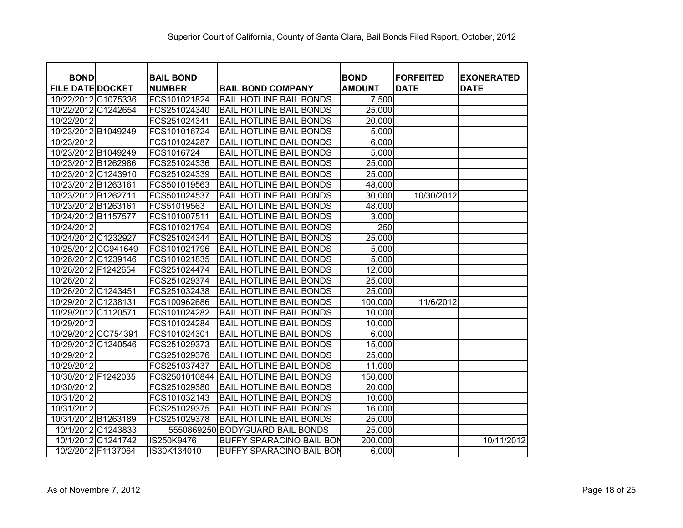| <b>BOND</b>             | <b>BAIL BOND</b> |                                 | <b>BOND</b>   | <b>FORFEITED</b> | <b>EXONERATED</b> |
|-------------------------|------------------|---------------------------------|---------------|------------------|-------------------|
| <b>FILE DATE DOCKET</b> | <b>NUMBER</b>    | <b>BAIL BOND COMPANY</b>        | <b>AMOUNT</b> | <b>DATE</b>      | <b>DATE</b>       |
| 10/22/2012 C1075336     | FCS101021824     | <b>BAIL HOTLINE BAIL BONDS</b>  | 7,500         |                  |                   |
| 10/22/2012 C1242654     | FCS251024340     | <b>BAIL HOTLINE BAIL BONDS</b>  | 25,000        |                  |                   |
| 10/22/2012              | FCS251024341     | <b>BAIL HOTLINE BAIL BONDS</b>  | 20,000        |                  |                   |
| 10/23/2012 B1049249     | FCS101016724     | <b>BAIL HOTLINE BAIL BONDS</b>  | 5,000         |                  |                   |
| 10/23/2012              | FCS101024287     | <b>BAIL HOTLINE BAIL BONDS</b>  | 6,000         |                  |                   |
| 10/23/2012 B1049249     | FCS1016724       | <b>BAIL HOTLINE BAIL BONDS</b>  | 5,000         |                  |                   |
| 10/23/2012 B1262986     | FCS251024336     | <b>BAIL HOTLINE BAIL BONDS</b>  | 25,000        |                  |                   |
| 10/23/2012 C1243910     | FCS251024339     | <b>BAIL HOTLINE BAIL BONDS</b>  | 25,000        |                  |                   |
| 10/23/2012 B1263161     | FCS501019563     | <b>BAIL HOTLINE BAIL BONDS</b>  | 48,000        |                  |                   |
| 10/23/2012 B1262711     | FCS501024537     | <b>BAIL HOTLINE BAIL BONDS</b>  | 30,000        | 10/30/2012       |                   |
| 10/23/2012 B1263161     | FCS51019563      | <b>BAIL HOTLINE BAIL BONDS</b>  | 48,000        |                  |                   |
| 10/24/2012 B1157577     | FCS101007511     | <b>BAIL HOTLINE BAIL BONDS</b>  | 3,000         |                  |                   |
| 10/24/2012              | FCS101021794     | <b>BAIL HOTLINE BAIL BONDS</b>  | 250           |                  |                   |
| 10/24/2012 C1232927     | FCS251024344     | <b>BAIL HOTLINE BAIL BONDS</b>  | 25,000        |                  |                   |
| 10/25/2012 CC941649     | FCS101021796     | <b>BAIL HOTLINE BAIL BONDS</b>  | 5,000         |                  |                   |
| 10/26/2012 C1239146     | FCS101021835     | <b>BAIL HOTLINE BAIL BONDS</b>  | 5,000         |                  |                   |
| 10/26/2012 F1242654     | FCS251024474     | <b>BAIL HOTLINE BAIL BONDS</b>  | 12,000        |                  |                   |
| 10/26/2012              | FCS251029374     | <b>BAIL HOTLINE BAIL BONDS</b>  | 25,000        |                  |                   |
| 10/26/2012 C1243451     | FCS251032438     | <b>BAIL HOTLINE BAIL BONDS</b>  | 25,000        |                  |                   |
| 10/29/2012 C1238131     | FCS100962686     | <b>BAIL HOTLINE BAIL BONDS</b>  | 100,000       | 11/6/2012        |                   |
| 10/29/2012 C1120571     | FCS101024282     | <b>BAIL HOTLINE BAIL BONDS</b>  | 10,000        |                  |                   |
| 10/29/2012              | FCS101024284     | <b>BAIL HOTLINE BAIL BONDS</b>  | 10,000        |                  |                   |
| 10/29/2012 CC754391     | FCS101024301     | <b>BAIL HOTLINE BAIL BONDS</b>  | 6,000         |                  |                   |
| 10/29/2012 C1240546     | FCS251029373     | <b>BAIL HOTLINE BAIL BONDS</b>  | 15,000        |                  |                   |
| 10/29/2012              | FCS251029376     | <b>BAIL HOTLINE BAIL BONDS</b>  | 25,000        |                  |                   |
| 10/29/2012              | FCS251037437     | <b>BAIL HOTLINE BAIL BONDS</b>  | 11,000        |                  |                   |
| 10/30/2012 F1242035     | FCS2501010844    | <b>BAIL HOTLINE BAIL BONDS</b>  | 150,000       |                  |                   |
| 10/30/2012              | FCS251029380     | <b>BAIL HOTLINE BAIL BONDS</b>  | 20,000        |                  |                   |
| 10/31/2012              | FCS101032143     | <b>BAIL HOTLINE BAIL BONDS</b>  | 10,000        |                  |                   |
| 10/31/2012              | FCS251029375     | <b>BAIL HOTLINE BAIL BONDS</b>  | 16,000        |                  |                   |
| 10/31/2012 B1263189     | FCS251029378     | <b>BAIL HOTLINE BAIL BONDS</b>  | 25,000        |                  |                   |
| 10/1/2012 C1243833      | 5550869250       | <b>BODYGUARD BAIL BONDS</b>     | 25,000        |                  |                   |
| 10/1/2012 C1241742      | IS250K9476       | <b>BUFFY SPARACINO BAIL BON</b> | 200,000       |                  | 10/11/2012        |
| 10/2/2012 F1137064      | IS30K134010      | <b>BUFFY SPARACINO BAIL BON</b> | 6,000         |                  |                   |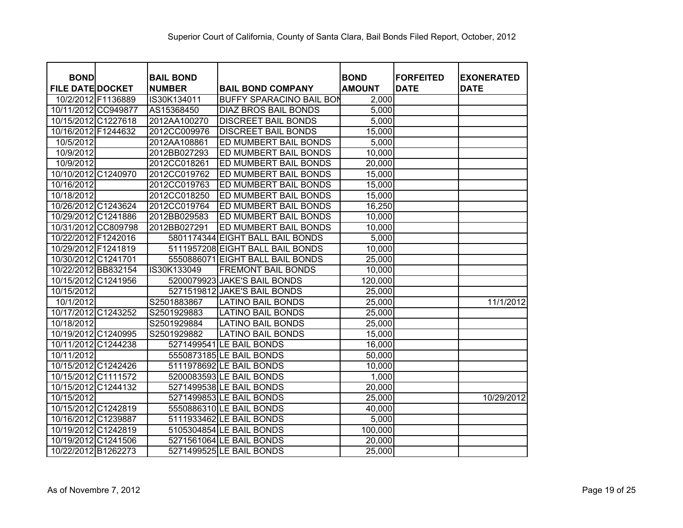| <b>BOND</b>             | <b>BAIL BOND</b> |                                  | <b>BOND</b>   | <b>FORFEITED</b> | <b>EXONERATED</b> |
|-------------------------|------------------|----------------------------------|---------------|------------------|-------------------|
| <b>FILE DATE DOCKET</b> | <b>NUMBER</b>    | <b>BAIL BOND COMPANY</b>         | <b>AMOUNT</b> | <b>DATE</b>      | <b>DATE</b>       |
| 10/2/2012 F1136889      | IS30K134011      | <b>BUFFY SPARACINO BAIL BON</b>  | 2,000         |                  |                   |
| 10/11/2012 CC949877     | AS15368450       | <b>DIAZ BROS BAIL BONDS</b>      | 5,000         |                  |                   |
| 10/15/2012 C1227618     | 2012AA100270     | <b>DISCREET BAIL BONDS</b>       | 5,000         |                  |                   |
| 10/16/2012 F1244632     | 2012CC009976     | <b>DISCREET BAIL BONDS</b>       | 15,000        |                  |                   |
| 10/5/2012               | 2012AA108861     | ED MUMBERT BAIL BONDS            | 5,000         |                  |                   |
| 10/9/2012               | 2012BB027293     | <b>ED MUMBERT BAIL BONDS</b>     | 10,000        |                  |                   |
| 10/9/2012               | 2012CC018261     | ED MUMBERT BAIL BONDS            | 20,000        |                  |                   |
| 10/10/2012 C1240970     | 2012CC019762     | ED MUMBERT BAIL BONDS            | 15,000        |                  |                   |
| 10/16/2012              | 2012CC019763     | ED MUMBERT BAIL BONDS            | 15,000        |                  |                   |
| 10/18/2012              | 2012CC018250     | <b>ED MUMBERT BAIL BONDS</b>     | 15,000        |                  |                   |
| 10/26/2012 C1243624     | 2012CC019764     | <b>ED MUMBERT BAIL BONDS</b>     | 16,250        |                  |                   |
| 10/29/2012 C1241886     | 2012BB029583     | <b>ED MUMBERT BAIL BONDS</b>     | 10,000        |                  |                   |
| 10/31/2012 CC809798     | 2012BB027291     | <b>ED MUMBERT BAIL BONDS</b>     | 10,000        |                  |                   |
| 10/22/2012 F1242016     |                  | 5801174344 EIGHT BALL BAIL BONDS | 5,000         |                  |                   |
| 10/29/2012 F1241819     |                  | 5111957208 EIGHT BALL BAIL BONDS | 10,000        |                  |                   |
| 10/30/2012 C1241701     |                  | 5550886071 EIGHT BALL BAIL BONDS | 25,000        |                  |                   |
| 10/22/2012 BB832154     | IS30K133049      | <b>FREMONT BAIL BONDS</b>        | 10,000        |                  |                   |
| 10/15/2012 C1241956     |                  | 5200079923 JAKE'S BAIL BONDS     | 120,000       |                  |                   |
| 10/15/2012              |                  | 5271519812 JAKE'S BAIL BONDS     | 25,000        |                  |                   |
| 10/1/2012               | S2501883867      | <b>LATINO BAIL BONDS</b>         | 25,000        |                  | 11/1/2012         |
| 10/17/2012 C1243252     | S2501929883      | <b>LATINO BAIL BONDS</b>         | 25,000        |                  |                   |
| 10/18/2012              | S2501929884      | <b>LATINO BAIL BONDS</b>         | 25,000        |                  |                   |
| 10/19/2012 C1240995     | S2501929882      | <b>LATINO BAIL BONDS</b>         | 15,000        |                  |                   |
| 10/11/2012 C1244238     |                  | 5271499541 LE BAIL BONDS         | 16,000        |                  |                   |
| 10/11/2012              |                  | 5550873185 LE BAIL BONDS         | 50,000        |                  |                   |
| 10/15/2012 C1242426     |                  | 5111978692 LE BAIL BONDS         | 10,000        |                  |                   |
| 10/15/2012 C1111572     |                  | 5200083593 LE BAIL BONDS         | 1,000         |                  |                   |
| 10/15/2012 C1244132     |                  | 5271499538 LE BAIL BONDS         | 20,000        |                  |                   |
| 10/15/2012              |                  | 5271499853 LE BAIL BONDS         | 25,000        |                  | 10/29/2012        |
| 10/15/2012 C1242819     |                  | 5550886310 LE BAIL BONDS         | 40,000        |                  |                   |
| 10/16/2012 C1239887     |                  | 5111933462 LE BAIL BONDS         | 5,000         |                  |                   |
| 10/19/2012 C1242819     |                  | 5105304854 LE BAIL BONDS         | 100,000       |                  |                   |
| 10/19/2012 C1241506     |                  | 5271561064 LE BAIL BONDS         | 20,000        |                  |                   |
| 10/22/2012 B1262273     |                  | 5271499525 LE BAIL BONDS         | 25,000        |                  |                   |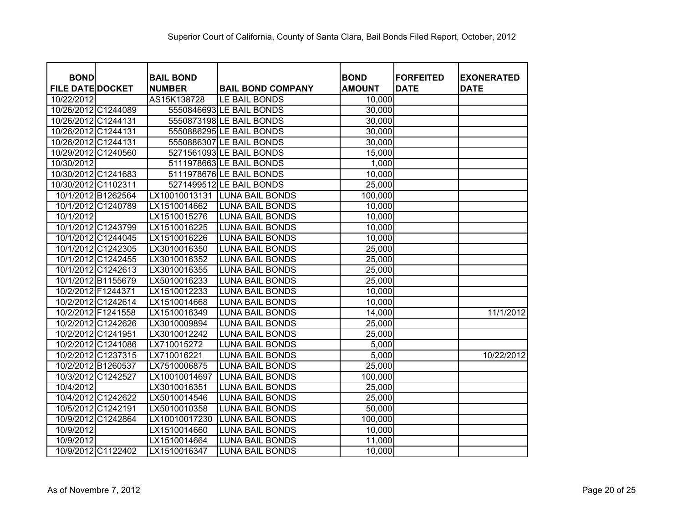| <b>BOND</b>             | <b>BAIL BOND</b> |                          | <b>BOND</b>   | <b>FORFEITED</b> | <b>EXONERATED</b> |
|-------------------------|------------------|--------------------------|---------------|------------------|-------------------|
| <b>FILE DATE DOCKET</b> | <b>NUMBER</b>    | <b>BAIL BOND COMPANY</b> | <b>AMOUNT</b> | <b>DATE</b>      | <b>DATE</b>       |
| 10/22/2012              | AS15K138728      | LE BAIL BONDS            | 10,000        |                  |                   |
| 10/26/2012 C1244089     |                  | 5550846693 LE BAIL BONDS | 30,000        |                  |                   |
| 10/26/2012 C1244131     |                  | 5550873198 LE BAIL BONDS | 30,000        |                  |                   |
| 10/26/2012 C1244131     |                  | 5550886295 LE BAIL BONDS | 30,000        |                  |                   |
| 10/26/2012 C1244131     |                  | 5550886307 LE BAIL BONDS | 30,000        |                  |                   |
| 10/29/2012 C1240560     |                  | 5271561093 LE BAIL BONDS | 15,000        |                  |                   |
| 10/30/2012              |                  | 5111978663 LE BAIL BONDS | 1,000         |                  |                   |
| 10/30/2012 C1241683     |                  | 5111978676 LE BAIL BONDS | 10,000        |                  |                   |
| 10/30/2012 C1102311     |                  | 5271499512 LE BAIL BONDS | 25,000        |                  |                   |
| 10/1/2012 B1262564      | LX10010013131    | <b>LUNA BAIL BONDS</b>   | 100,000       |                  |                   |
| 10/1/2012 C1240789      | LX1510014662     | <b>LUNA BAIL BONDS</b>   | 10,000        |                  |                   |
| 10/1/2012               | LX1510015276     | <b>LUNA BAIL BONDS</b>   | 10,000        |                  |                   |
| 10/1/2012 C1243799      | LX1510016225     | <b>LUNA BAIL BONDS</b>   | 10,000        |                  |                   |
| 10/1/2012 C1244045      | LX1510016226     | <b>LUNA BAIL BONDS</b>   | 10,000        |                  |                   |
| 10/1/2012 C1242305      | LX3010016350     | <b>LUNA BAIL BONDS</b>   | 25,000        |                  |                   |
| 10/1/2012 C1242455      | LX3010016352     | <b>LUNA BAIL BONDS</b>   | 25,000        |                  |                   |
| 10/1/2012 C1242613      | LX3010016355     | <b>LUNA BAIL BONDS</b>   | 25,000        |                  |                   |
| 10/1/2012 B1155679      | LX5010016233     | <b>LUNA BAIL BONDS</b>   | 25,000        |                  |                   |
| 10/2/2012 F1244371      | LX1510012233     | <b>LUNA BAIL BONDS</b>   | 10,000        |                  |                   |
| 10/2/2012 C1242614      | LX1510014668     | <b>LUNA BAIL BONDS</b>   | 10,000        |                  |                   |
| 10/2/2012 F1241558      | LX1510016349     | <b>LUNA BAIL BONDS</b>   | 14,000        |                  | 11/1/2012         |
| 10/2/2012 C1242626      | LX3010009894     | <b>LUNA BAIL BONDS</b>   | 25,000        |                  |                   |
| 10/2/2012 C1241951      | LX3010012242     | <b>LUNA BAIL BONDS</b>   | 25,000        |                  |                   |
| 10/2/2012 C1241086      | LX710015272      | <b>LUNA BAIL BONDS</b>   | 5,000         |                  |                   |
| 10/2/2012 C1237315      | LX710016221      | <b>LUNA BAIL BONDS</b>   | 5,000         |                  | 10/22/2012        |
| 10/2/2012 B1260537      | LX7510006875     | <b>LUNA BAIL BONDS</b>   | 25,000        |                  |                   |
| 10/3/2012 C1242527      | LX10010014697    | <b>LUNA BAIL BONDS</b>   | 100,000       |                  |                   |
| 10/4/2012               | LX3010016351     | <b>LUNA BAIL BONDS</b>   | 25,000        |                  |                   |
| 10/4/2012 C1242622      | LX5010014546     | <b>LUNA BAIL BONDS</b>   | 25,000        |                  |                   |
| 10/5/2012 C1242191      | LX5010010358     | <b>LUNA BAIL BONDS</b>   | 50,000        |                  |                   |
| 10/9/2012 C1242864      | LX10010017230    | <b>LUNA BAIL BONDS</b>   | 100,000       |                  |                   |
| 10/9/2012               | LX1510014660     | <b>LUNA BAIL BONDS</b>   | 10,000        |                  |                   |
| 10/9/2012               | LX1510014664     | <b>LUNA BAIL BONDS</b>   | 11,000        |                  |                   |
| 10/9/2012 C1122402      | LX1510016347     | <b>LUNA BAIL BONDS</b>   | 10,000        |                  |                   |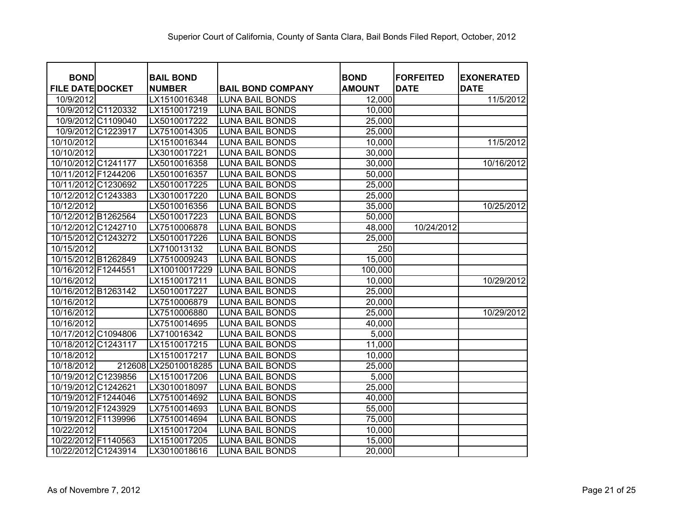| <b>BOND</b>             | <b>BAIL BOND</b>     |                          | <b>BOND</b>   | <b>FORFEITED</b> |                                  |
|-------------------------|----------------------|--------------------------|---------------|------------------|----------------------------------|
| <b>FILE DATE DOCKET</b> | <b>NUMBER</b>        | <b>BAIL BOND COMPANY</b> | <b>AMOUNT</b> | <b>DATE</b>      | <b>EXONERATED</b><br><b>DATE</b> |
| 10/9/2012               | LX1510016348         | <b>LUNA BAIL BONDS</b>   | 12,000        |                  | 11/5/2012                        |
| 10/9/2012 C1120332      | LX1510017219         | <b>LUNA BAIL BONDS</b>   | 10,000        |                  |                                  |
| 10/9/2012 C1109040      | LX5010017222         | <b>LUNA BAIL BONDS</b>   | 25,000        |                  |                                  |
| 10/9/2012 C1223917      | LX7510014305         | <b>LUNA BAIL BONDS</b>   | 25,000        |                  |                                  |
| 10/10/2012              | LX1510016344         | <b>LUNA BAIL BONDS</b>   | 10,000        |                  | 11/5/2012                        |
| 10/10/2012              | LX3010017221         | <b>LUNA BAIL BONDS</b>   | 30,000        |                  |                                  |
| 10/10/2012 C1241177     | LX5010016358         | <b>LUNA BAIL BONDS</b>   | 30,000        |                  | 10/16/2012                       |
| 10/11/2012 F1244206     | LX5010016357         | <b>LUNA BAIL BONDS</b>   | 50,000        |                  |                                  |
| 10/11/2012 C1230692     | LX5010017225         | <b>LUNA BAIL BONDS</b>   | 25,000        |                  |                                  |
| 10/12/2012 C1243383     | LX3010017220         | <b>LUNA BAIL BONDS</b>   | 25,000        |                  |                                  |
| 10/12/2012              | LX5010016356         | <b>LUNA BAIL BONDS</b>   | 35,000        |                  | 10/25/2012                       |
| 10/12/2012 B1262564     | LX5010017223         | <b>LUNA BAIL BONDS</b>   | 50,000        |                  |                                  |
| 10/12/2012 C1242710     | LX7510006878         | <b>LUNA BAIL BONDS</b>   | 48,000        | 10/24/2012       |                                  |
| 10/15/2012 C1243272     | LX5010017226         | <b>LUNA BAIL BONDS</b>   | 25,000        |                  |                                  |
| 10/15/2012              | LX710013132          | <b>LUNA BAIL BONDS</b>   | 250           |                  |                                  |
| 10/15/2012 B1262849     | LX7510009243         | <b>LUNA BAIL BONDS</b>   | 15,000        |                  |                                  |
| 10/16/2012 F1244551     | LX10010017229        | <b>LUNA BAIL BONDS</b>   | 100,000       |                  |                                  |
| 10/16/2012              | LX1510017211         | <b>LUNA BAIL BONDS</b>   | 10,000        |                  | 10/29/2012                       |
| 10/16/2012 B1263142     | LX5010017227         | <b>LUNA BAIL BONDS</b>   | 25,000        |                  |                                  |
| 10/16/2012              | LX7510006879         | <b>LUNA BAIL BONDS</b>   | 20,000        |                  |                                  |
| 10/16/2012              | LX7510006880         | <b>LUNA BAIL BONDS</b>   | 25,000        |                  | 10/29/2012                       |
| 10/16/2012              | LX7510014695         | <b>LUNA BAIL BONDS</b>   | 40,000        |                  |                                  |
| 10/17/2012 C1094806     | LX710016342          | <b>LUNA BAIL BONDS</b>   | 5,000         |                  |                                  |
| 10/18/2012 C1243117     | LX1510017215         | <b>LUNA BAIL BONDS</b>   | 11,000        |                  |                                  |
| 10/18/2012              | LX1510017217         | <b>LUNA BAIL BONDS</b>   | 10,000        |                  |                                  |
| 10/18/2012              | 212608 LX25010018285 | <b>LUNA BAIL BONDS</b>   | 25,000        |                  |                                  |
| 10/19/2012 C1239856     | LX1510017206         | <b>LUNA BAIL BONDS</b>   | 5,000         |                  |                                  |
| 10/19/2012 C1242621     | LX3010018097         | <b>LUNA BAIL BONDS</b>   | 25,000        |                  |                                  |
| 10/19/2012 F1244046     | LX7510014692         | <b>LUNA BAIL BONDS</b>   | 40,000        |                  |                                  |
| 10/19/2012 F1243929     | LX7510014693         | <b>LUNA BAIL BONDS</b>   | 55,000        |                  |                                  |
| 10/19/2012 F1139996     | LX7510014694         | <b>LUNA BAIL BONDS</b>   | 75,000        |                  |                                  |
| 10/22/2012              | LX1510017204         | <b>LUNA BAIL BONDS</b>   | 10,000        |                  |                                  |
| 10/22/2012 F1140563     | LX1510017205         | <b>LUNA BAIL BONDS</b>   | 15,000        |                  |                                  |
| 10/22/2012 C1243914     | LX3010018616         | <b>LUNA BAIL BONDS</b>   | 20,000        |                  |                                  |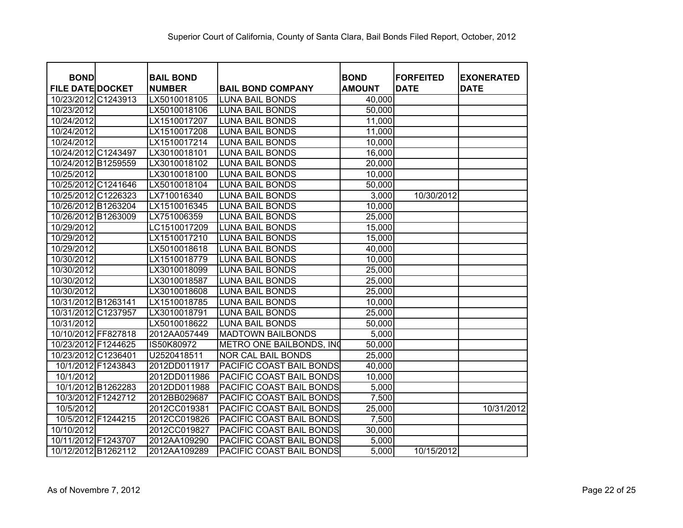| <b>BOND</b>             | <b>BAIL BOND</b> |                           | <b>BOND</b>   | <b>FORFEITED</b> | <b>EXONERATED</b> |
|-------------------------|------------------|---------------------------|---------------|------------------|-------------------|
| <b>FILE DATE DOCKET</b> | <b>NUMBER</b>    | <b>BAIL BOND COMPANY</b>  | <b>AMOUNT</b> | <b>DATE</b>      | <b>DATE</b>       |
| 10/23/2012 C1243913     | LX5010018105     | <b>LUNA BAIL BONDS</b>    | 40,000        |                  |                   |
| 10/23/2012              | LX5010018106     | <b>LUNA BAIL BONDS</b>    | 50,000        |                  |                   |
| 10/24/2012              | LX1510017207     | <b>LUNA BAIL BONDS</b>    | 11,000        |                  |                   |
| 10/24/2012              | LX1510017208     | <b>LUNA BAIL BONDS</b>    | 11,000        |                  |                   |
| 10/24/2012              | LX1510017214     | <b>LUNA BAIL BONDS</b>    | 10,000        |                  |                   |
| 10/24/2012 C1243497     | LX3010018101     | <b>LUNA BAIL BONDS</b>    | 16,000        |                  |                   |
| 10/24/2012 B1259559     | LX3010018102     | <b>LUNA BAIL BONDS</b>    | 20,000        |                  |                   |
| 10/25/2012              | LX3010018100     | <b>LUNA BAIL BONDS</b>    | 10,000        |                  |                   |
| 10/25/2012 C1241646     | LX5010018104     | <b>LUNA BAIL BONDS</b>    | 50,000        |                  |                   |
| 10/25/2012 C1226323     | LX710016340      | <b>LUNA BAIL BONDS</b>    | 3,000         | 10/30/2012       |                   |
| 10/26/2012 B1263204     | LX1510016345     | <b>LUNA BAIL BONDS</b>    | 10,000        |                  |                   |
| 10/26/2012 B1263009     | LX751006359      | <b>LUNA BAIL BONDS</b>    | 25,000        |                  |                   |
| 10/29/2012              | LC1510017209     | <b>LUNA BAIL BONDS</b>    | 15,000        |                  |                   |
| 10/29/2012              | LX1510017210     | <b>LUNA BAIL BONDS</b>    | 15,000        |                  |                   |
| 10/29/2012              | LX5010018618     | <b>LUNA BAIL BONDS</b>    | 40,000        |                  |                   |
| 10/30/2012              | LX1510018779     | <b>LUNA BAIL BONDS</b>    | 10,000        |                  |                   |
| 10/30/2012              | LX3010018099     | <b>LUNA BAIL BONDS</b>    | 25,000        |                  |                   |
| 10/30/2012              | LX3010018587     | <b>LUNA BAIL BONDS</b>    | 25,000        |                  |                   |
| 10/30/2012              | LX3010018608     | <b>LUNA BAIL BONDS</b>    | 25,000        |                  |                   |
| 10/31/2012 B1263141     | LX1510018785     | <b>LUNA BAIL BONDS</b>    | 10,000        |                  |                   |
| 10/31/2012 C1237957     | LX3010018791     | <b>LUNA BAIL BONDS</b>    | 25,000        |                  |                   |
| 10/31/2012              | LX5010018622     | <b>LUNA BAIL BONDS</b>    | 50,000        |                  |                   |
| 10/10/2012 FF827818     | 2012AA057449     | <b>MADTOWN BAILBONDS</b>  | 5,000         |                  |                   |
| 10/23/2012 F1244625     | IS50K80972       | METRO ONE BAILBONDS, INC  | 50,000        |                  |                   |
| 10/23/2012 C1236401     | U2520418511      | <b>NOR CAL BAIL BONDS</b> | 25,000        |                  |                   |
| 10/1/2012 F1243843      | 2012DD011917     | PACIFIC COAST BAIL BONDS  | 40,000        |                  |                   |
| 10/1/2012               | 2012DD011986     | PACIFIC COAST BAIL BONDS  | 10,000        |                  |                   |
| 10/1/2012 B1262283      | 2012DD011988     | PACIFIC COAST BAIL BONDS  | 5,000         |                  |                   |
| 10/3/2012 F1242712      | 2012BB029687     | PACIFIC COAST BAIL BONDS  | 7,500         |                  |                   |
| 10/5/2012               | 2012CC019381     | PACIFIC COAST BAIL BONDS  | 25,000        |                  | 10/31/2012        |
| 10/5/2012 F1244215      | 2012CC019826     | PACIFIC COAST BAIL BONDS  | 7,500         |                  |                   |
| 10/10/2012              | 2012CC019827     | PACIFIC COAST BAIL BONDS  | 30,000        |                  |                   |
| 10/11/2012 F1243707     | 2012AA109290     | PACIFIC COAST BAIL BONDS  | 5,000         |                  |                   |
| 10/12/2012 B1262112     | 2012AA109289     | PACIFIC COAST BAIL BONDS  | 5,000         | 10/15/2012       |                   |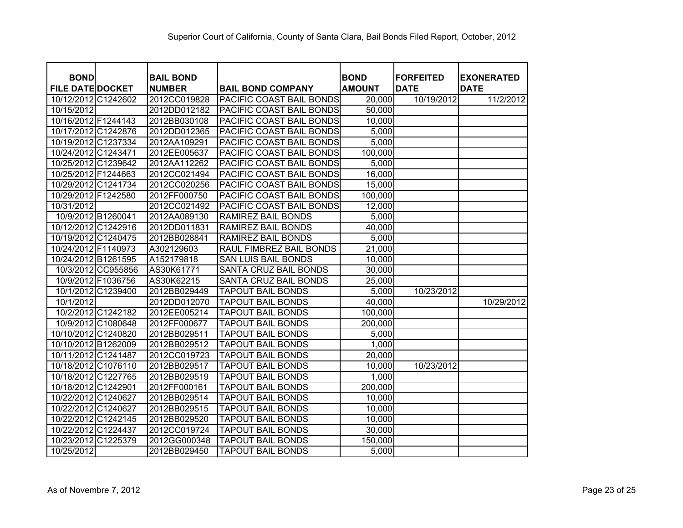| <b>BOND</b>             |               | <b>BAIL BOND</b>                |                              | <b>FORFEITED</b> | <b>EXONERATED</b> |
|-------------------------|---------------|---------------------------------|------------------------------|------------------|-------------------|
| <b>FILE DATE DOCKET</b> | <b>NUMBER</b> | <b>BAIL BOND COMPANY</b>        | <b>BOND</b><br><b>AMOUNT</b> | <b>DATE</b>      | <b>DATE</b>       |
| 10/12/2012 C1242602     | 2012CC019828  | <b>PACIFIC COAST BAIL BONDS</b> | 20,000                       | 10/19/2012       | 11/2/2012         |
| 10/15/2012              | 2012DD012182  | <b>PACIFIC COAST BAIL BONDS</b> | 50,000                       |                  |                   |
| 10/16/2012 F1244143     | 2012BB030108  | PACIFIC COAST BAIL BONDS        | 10,000                       |                  |                   |
| 10/17/2012 C1242876     | 2012DD012365  | PACIFIC COAST BAIL BONDS        | 5,000                        |                  |                   |
| 10/19/2012 C1237334     | 2012AA109291  | PACIFIC COAST BAIL BONDS        | 5,000                        |                  |                   |
| 10/24/2012 C1243471     | 2012EE005637  | PACIFIC COAST BAIL BONDS        | 100,000                      |                  |                   |
| 10/25/2012 C1239642     | 2012AA112262  | PACIFIC COAST BAIL BONDS        | 5,000                        |                  |                   |
| 10/25/2012 F1244663     | 2012CC021494  | PACIFIC COAST BAIL BONDS        | 16,000                       |                  |                   |
| 10/29/2012 C1241734     | 2012CC020256  | PACIFIC COAST BAIL BONDS        | 15,000                       |                  |                   |
| 10/29/2012 F1242580     | 2012FF000750  | PACIFIC COAST BAIL BONDS        | 100,000                      |                  |                   |
| 10/31/2012              | 2012CC021492  | PACIFIC COAST BAIL BONDS        | 12,000                       |                  |                   |
| 10/9/2012 B1260041      | 2012AA089130  | <b>RAMIREZ BAIL BONDS</b>       | 5,000                        |                  |                   |
| 10/12/2012 C1242916     | 2012DD011831  | <b>RAMIREZ BAIL BONDS</b>       | 40,000                       |                  |                   |
| 10/19/2012 C1240475     | 2012BB028841  | RAMIREZ BAIL BONDS              | 5,000                        |                  |                   |
| 10/24/2012 F1140973     | A302129603    | RAUL FIMBREZ BAIL BONDS         | 21,000                       |                  |                   |
| 10/24/2012 B1261595     | A152179818    | <b>SAN LUIS BAIL BONDS</b>      | 10,000                       |                  |                   |
| 10/3/2012 CC955856      | AS30K61771    | SANTA CRUZ BAIL BONDS           | 30,000                       |                  |                   |
| 10/9/2012 F1036756      | AS30K62215    | SANTA CRUZ BAIL BONDS           | 25,000                       |                  |                   |
| 10/1/2012 C1239400      | 2012BB029449  | <b>TAPOUT BAIL BONDS</b>        | 5,000                        | 10/23/2012       |                   |
| 10/1/2012               | 2012DD012070  | <b>TAPOUT BAIL BONDS</b>        | 40,000                       |                  | 10/29/2012        |
| 10/2/2012 C1242182      | 2012EE005214  | <b>TAPOUT BAIL BONDS</b>        | 100,000                      |                  |                   |
| 10/9/2012 C1080648      | 2012FF000677  | <b>TAPOUT BAIL BONDS</b>        | 200,000                      |                  |                   |
| 10/10/2012 C1240820     | 2012BB029511  | <b>TAPOUT BAIL BONDS</b>        | 5,000                        |                  |                   |
| 10/10/2012 B1262009     | 2012BB029512  | <b>TAPOUT BAIL BONDS</b>        | 1,000                        |                  |                   |
| 10/11/2012 C1241487     | 2012CC019723  | <b>TAPOUT BAIL BONDS</b>        | 20,000                       |                  |                   |
| 10/18/2012 C1076110     | 2012BB029517  | <b>TAPOUT BAIL BONDS</b>        | 10,000                       | 10/23/2012       |                   |
| 10/18/2012 C1227765     | 2012BB029519  | <b>TAPOUT BAIL BONDS</b>        | 1,000                        |                  |                   |
| 10/18/2012 C1242901     | 2012FF000161  | <b>TAPOUT BAIL BONDS</b>        | 200,000                      |                  |                   |
| 10/22/2012 C1240627     | 2012BB029514  | <b>TAPOUT BAIL BONDS</b>        | 10,000                       |                  |                   |
| 10/22/2012 C1240627     | 2012BB029515  | <b>TAPOUT BAIL BONDS</b>        | 10,000                       |                  |                   |
| 10/22/2012 C1242145     | 2012BB029520  | <b>TAPOUT BAIL BONDS</b>        | 10,000                       |                  |                   |
| 10/22/2012 C1224437     | 2012CC019724  | <b>TAPOUT BAIL BONDS</b>        | 30,000                       |                  |                   |
| 10/23/2012 C1225379     | 2012GG000348  | <b>TAPOUT BAIL BONDS</b>        | 150,000                      |                  |                   |
| 10/25/2012              | 2012BB029450  | <b>TAPOUT BAIL BONDS</b>        | 5,000                        |                  |                   |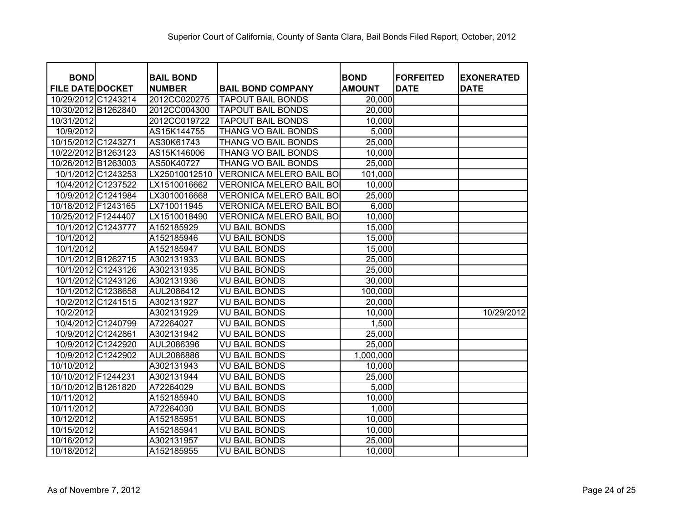| <b>BOND</b>             | <b>BAIL BOND</b> |                      |                                | <b>BOND</b>         | <b>FORFEITED</b> | <b>EXONERATED</b> |
|-------------------------|------------------|----------------------|--------------------------------|---------------------|------------------|-------------------|
| <b>FILE DATE DOCKET</b> | <b>NUMBER</b>    |                      | <b>BAIL BOND COMPANY</b>       | <b>AMOUNT</b>       | <b>DATE</b>      | <b>DATE</b>       |
| 10/29/2012 C1243214     | 2012CC020275     |                      | <b>TAPOUT BAIL BONDS</b>       | $\overline{20,000}$ |                  |                   |
| 10/30/2012 B1262840     | 2012CC004300     |                      | <b>TAPOUT BAIL BONDS</b>       | $\overline{20,000}$ |                  |                   |
| 10/31/2012              | 2012CC019722     |                      | <b>TAPOUT BAIL BONDS</b>       | 10,000              |                  |                   |
| 10/9/2012               | AS15K144755      |                      | <b>THANG VO BAIL BONDS</b>     | 5,000               |                  |                   |
| 10/15/2012 C1243271     | AS30K61743       |                      | <b>THANG VO BAIL BONDS</b>     | 25,000              |                  |                   |
| 10/22/2012 B1263123     | AS15K146006      |                      | THANG VO BAIL BONDS            | 10,000              |                  |                   |
| 10/26/2012 B1263003     | AS50K40727       |                      | THANG VO BAIL BONDS            | 25,000              |                  |                   |
| 10/1/2012 C1243253      | LX25010012510    |                      | <b>VERONICA MELERO BAIL BO</b> | 101,000             |                  |                   |
| 10/4/2012 C1237522      | LX1510016662     |                      | <b>VERONICA MELERO BAIL BO</b> | 10,000              |                  |                   |
| 10/9/2012 C1241984      | LX3010016668     |                      | <b>VERONICA MELERO BAIL BO</b> | 25,000              |                  |                   |
| 10/18/2012 F1243165     | LX710011945      |                      | <b>VERONICA MELERO BAIL BO</b> | 6,000               |                  |                   |
| 10/25/2012 F1244407     | LX1510018490     |                      | <b>VERONICA MELERO BAIL BO</b> | 10,000              |                  |                   |
| 10/1/2012 C1243777      | A152185929       | <b>VU BAIL BONDS</b> |                                | 15,000              |                  |                   |
| 10/1/2012               | A152185946       | <b>VU BAIL BONDS</b> |                                | 15,000              |                  |                   |
| 10/1/2012               | A152185947       | <b>VU BAIL BONDS</b> |                                | 15,000              |                  |                   |
| 10/1/2012 B1262715      | A302131933       | <b>VU BAIL BONDS</b> |                                | 25,000              |                  |                   |
| 10/1/2012 C1243126      | A302131935       | <b>VU BAIL BONDS</b> |                                | 25,000              |                  |                   |
| 10/1/2012 C1243126      | A302131936       | <b>VU BAIL BONDS</b> |                                | 30,000              |                  |                   |
| 10/1/2012 C1238658      | AUL2086412       | <b>VU BAIL BONDS</b> |                                | 100,000             |                  |                   |
| 10/2/2012 C1241515      | A302131927       | VU BAIL BONDS        |                                | 20,000              |                  |                   |
| 10/2/2012               | A302131929       | <b>VU BAIL BONDS</b> |                                | 10,000              |                  | 10/29/2012        |
| 10/4/2012 C1240799      | A72264027        | VU BAIL BONDS        |                                | 1,500               |                  |                   |
| 10/9/2012 C1242861      | A302131942       | <b>VU BAIL BONDS</b> |                                | 25,000              |                  |                   |
| 10/9/2012 C1242920      | AUL2086396       | <b>VU BAIL BONDS</b> |                                | 25,000              |                  |                   |
| 10/9/2012 C1242902      | AUL2086886       | <b>VU BAIL BONDS</b> |                                | 1,000,000           |                  |                   |
| 10/10/2012              | A302131943       | <b>VU BAIL BONDS</b> |                                | 10,000              |                  |                   |
| 10/10/2012 F1244231     | A302131944       | <b>VU BAIL BONDS</b> |                                | 25,000              |                  |                   |
| 10/10/2012 B1261820     | A72264029        | <b>VU BAIL BONDS</b> |                                | 5,000               |                  |                   |
| 10/11/2012              | A152185940       | <b>VU BAIL BONDS</b> |                                | 10,000              |                  |                   |
| 10/11/2012              | A72264030        | <b>VU BAIL BONDS</b> |                                | 1,000               |                  |                   |
| 10/12/2012              | A152185951       | <b>VU BAIL BONDS</b> |                                | 10,000              |                  |                   |
| 10/15/2012              | A152185941       | <b>VU BAIL BONDS</b> |                                | 10,000              |                  |                   |
| 10/16/2012              | A302131957       | <b>VU BAIL BONDS</b> |                                | 25,000              |                  |                   |
| 10/18/2012              | A152185955       | <b>VU BAIL BONDS</b> |                                | 10,000              |                  |                   |